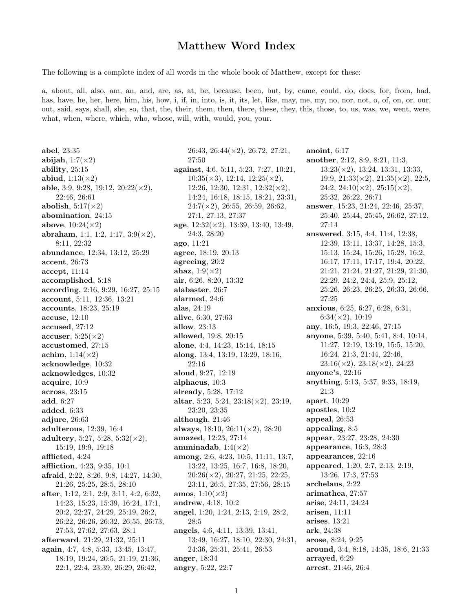## Matthew Word Index

The following is a complete index of all words in the whole book of Matthew, except for these:

a, about, all, also, am, an, and, are, as, at, be, because, been, but, by, came, could, do, does, for, from, had, has, have, he, her, here, him, his, how, i, if, in, into, is, it, its, let, like, may, me, my, no, nor, not, o, of, on, or, our, out, said, says, shall, she, so, that, the, their, them, then, there, these, they, this, those, to, us, was, we, went, were, what, when, where, which, who, whose, will, with, would, you, your.

abel, 23:35 abijah,  $1:7(\times2)$ ability, 25:15 abiud,  $1:13(\times2)$ able, 3:9, 9:28, 19:12,  $20:22(\times2)$ , 22:46, 26:61 abolish,  $5:17(\times2)$ abomination, 24:15 above,  $10:24 \times 2$ abraham, 1:1, 1:2, 1:17,  $3:9(\times2)$ , 8:11, 22:32 abundance, 12:34, 13:12, 25:29 accent, 26:73 accept, 11:14 accomplished, 5:18 according, 2:16, 9:29, 16:27, 25:15 account, 5:11, 12:36, 13:21 accounts, 18:23, 25:19 accuse, 12:10 accused, 27:12 accuser,  $5:25(\times2)$ accustomed, 27:15 achim,  $1:14(\times2)$ acknowledge, 10:32 acknowledges, 10:32 acquire, 10:9 across, 23:15 add, 6:27 added, 6:33 adjure, 26:63 adulterous, 12:39, 16:4 adultery, 5:27, 5:28, 5:32( $\times$ 2), 15:19, 19:9, 19:18 afflicted, 4:24 affliction, 4:23, 9:35, 10:1 afraid, 2:22, 8:26, 9:8, 14:27, 14:30, 21:26, 25:25, 28:5, 28:10 after, 1:12, 2:1, 2:9, 3:11, 4:2, 6:32, 14:23, 15:23, 15:39, 16:24, 17:1, 20:2, 22:27, 24:29, 25:19, 26:2, 26:22, 26:26, 26:32, 26:55, 26:73, 27:53, 27:62, 27:63, 28:1 afterward, 21:29, 21:32, 25:11 again, 4:7, 4:8, 5:33, 13:45, 13:47, 18:19, 19:24, 20:5, 21:19, 21:36, 22:1, 22:4, 23:39, 26:29, 26:42,

26:43, 26:44(×2), 26:72, 27:21, 27:50 against, 4:6, 5:11, 5:23, 7:27, 10:21,  $10:35(\times3), 12:14, 12:25(\times2),$  $12:26, 12:30, 12:31, 12:32(\times2),$ 14:24, 16:18, 18:15, 18:21, 23:31,  $24:7(\times2)$ , 26:55, 26:59, 26:62, 27:1, 27:13, 27:37 age,  $12:32(\times2)$ ,  $13:39$ ,  $13:40$ ,  $13:49$ , 24:3, 28:20 ago, 11:21 agree, 18:19, 20:13 agreeing, 20:2 ahaz,  $1:9(\times2)$ air, 6:26, 8:20, 13:32 alabaster, 26:7 alarmed, 24:6 alas, 24:19 alive, 6:30, 27:63 allow, 23:13 allowed, 19:8, 20:15 alone, 4:4, 14:23, 15:14, 18:15 along, 13:4, 13:19, 13:29, 18:16, 22:16 aloud, 9:27, 12:19 alphaeus, 10:3 already, 5:28, 17:12 altar, 5:23, 5:24,  $23:18(\times2)$ ,  $23:19$ , 23:20, 23:35 although, 21:46 always, 18:10, 26:11( $\times$ 2), 28:20 amazed, 12:23, 27:14 amminadab,  $1:4(\times 2)$ among, 2:6, 4:23, 10:5, 11:11, 13:7, 13:22, 13:25, 16:7, 16:8, 18:20,  $20:26(\times2), 20:27, 21:25, 22:25,$ 23:11, 26:5, 27:35, 27:56, 28:15 amos,  $1:10(\times2)$ andrew, 4:18, 10:2 angel, 1:20, 1:24, 2:13, 2:19, 28:2, 28:5 angels, 4:6, 4:11, 13:39, 13:41, 13:49, 16:27, 18:10, 22:30, 24:31, 24:36, 25:31, 25:41, 26:53 anger, 18:34 angry, 5:22, 22:7

anoint, 6:17 another, 2:12, 8:9, 8:21, 11:3, 13:23(×2), 13:24, 13:31, 13:33, 19:9,  $21:33(\times2)$ ,  $21:35(\times2)$ ,  $22:5$ , 24:2, 24:10( $\times$ 2), 25:15( $\times$ 2), 25:32, 26:22, 26:71 answer, 15:23, 21:24, 22:46, 25:37, 25:40, 25:44, 25:45, 26:62, 27:12, 27:14 answered, 3:15, 4:4, 11:4, 12:38, 12:39, 13:11, 13:37, 14:28, 15:3, 15:13, 15:24, 15:26, 15:28, 16:2, 16:17, 17:11, 17:17, 19:4, 20:22, 21:21, 21:24, 21:27, 21:29, 21:30, 22:29, 24:2, 24:4, 25:9, 25:12, 25:26, 26:23, 26:25, 26:33, 26:66, 27:25 anxious, 6:25, 6:27, 6:28, 6:31,  $6:34(\times2), 10:19$ any, 16:5, 19:3, 22:46, 27:15 anyone, 5:39, 5:40, 5:41, 8:4, 10:14, 11:27, 12:19, 13:19, 15:5, 15:20, 16:24, 21:3, 21:44, 22:46,  $23:16(\times2), 23:18(\times2), 24:23$ anyone's, 22:16 anything, 5:13, 5:37, 9:33, 18:19, 21:3 apart, 10:29 apostles, 10:2 appeal, 26:53 appealing, 8:5 appear, 23:27, 23:28, 24:30 appearance, 16:3, 28:3 appearances, 22:16 appeared, 1:20, 2:7, 2:13, 2:19, 13:26, 17:3, 27:53 archelaus, 2:22 arimathea, 27:57 arise, 24:11, 24:24 arisen, 11:11 arises, 13:21 ark, 24:38 arose, 8:24, 9:25 around, 3:4, 8:18, 14:35, 18:6, 21:33 arrayed, 6:29 arrest, 21:46, 26:4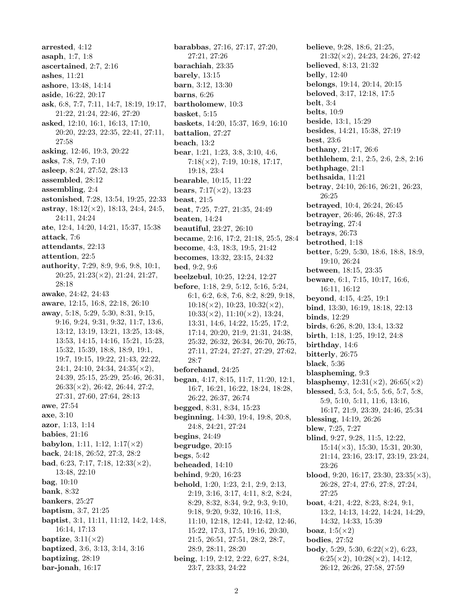arrested, 4:12 asaph, 1:7, 1:8 ascertained, 2:7, 2:16 ashes, 11:21 ashore, 13:48, 14:14 aside, 16:22, 20:17 ask, 6:8, 7:7, 7:11, 14:7, 18:19, 19:17, 21:22, 21:24, 22:46, 27:20 asked, 12:10, 16:1, 16:13, 17:10, 20:20, 22:23, 22:35, 22:41, 27:11, 27:58 asking, 12:46, 19:3, 20:22 asks, 7:8, 7:9, 7:10 asleep, 8:24, 27:52, 28:13 assembled, 28:12 assembling, 2:4 astonished, 7:28, 13:54, 19:25, 22:33 astray,  $18:12(\times 2)$ ,  $18:13$ ,  $24:4$ ,  $24:5$ , 24:11, 24:24 ate, 12:4, 14:20, 14:21, 15:37, 15:38 attack, 7:6 attendants, 22:13 attention, 22:5 authority, 7:29, 8:9, 9:6, 9:8, 10:1, 20:25, 21:23(×2), 21:24, 21:27, 28:18 awake, 24:42, 24:43 aware, 12:15, 16:8, 22:18, 26:10 away, 5:18, 5:29, 5:30, 8:31, 9:15, 9:16, 9:24, 9:31, 9:32, 11:7, 13:6, 13:12, 13:19, 13:21, 13:25, 13:48, 13:53, 14:15, 14:16, 15:21, 15:23, 15:32, 15:39, 18:8, 18:9, 19:1, 19:7, 19:15, 19:22, 21:43, 22:22, 24:1, 24:10, 24:34, 24:35 $(\times 2)$ , 24:39, 25:15, 25:29, 25:46, 26:31,  $26:33(\times2), 26:42, 26:44, 27:2,$ 27:31, 27:60, 27:64, 28:13 awe, 27:54 axe, 3:10 azor, 1:13, 1:14 babies, 21:16 babylon, 1:11, 1:12, 1:17( $\times$ 2) back, 24:18, 26:52, 27:3, 28:2 bad, 6:23, 7:17, 7:18,  $12:33(\times2)$ , 13:48, 22:10 bag, 10:10 bank, 8:32 bankers, 25:27 baptism, 3:7, 21:25 baptist, 3:1, 11:11, 11:12, 14:2, 14:8, 16:14, 17:13 baptize,  $3:11(\times2)$ baptized, 3:6, 3:13, 3:14, 3:16 baptizing, 28:19 bar-jonah, 16:17

barabbas, 27:16, 27:17, 27:20, 27:21, 27:26 barachiah, 23:35 barely, 13:15 barn, 3:12, 13:30 barns, 6:26 bartholomew, 10:3 basket, 5:15 baskets, 14:20, 15:37, 16:9, 16:10 battalion, 27:27 beach, 13:2 bear, 1:21, 1:23, 3:8, 3:10, 4:6, 7:18(×2), 7:19, 10:18, 17:17, 19:18, 23:4 bearable, 10:15, 11:22 bears,  $7:17(x2)$ ,  $13:23$ beast, 21:5 beat, 7:25, 7:27, 21:35, 24:49 beaten, 14:24 beautiful, 23:27, 26:10 became, 2:16, 17:2, 21:18, 25:5, 28:4 become, 4:3, 18:3, 19:5, 21:42 becomes, 13:32, 23:15, 24:32 bed, 9:2, 9:6 beelzebul, 10:25, 12:24, 12:27 before, 1:18, 2:9, 5:12, 5:16, 5:24, 6:1, 6:2, 6:8, 7:6, 8:2, 8:29, 9:18,  $10:18(\times2)$ ,  $10:23$ ,  $10:32(\times2)$ ,  $10:33(\times2), 11:10(\times2), 13:24,$ 13:31, 14:6, 14:22, 15:25, 17:2, 17:14, 20:20, 21:9, 21:31, 24:38, 25:32, 26:32, 26:34, 26:70, 26:75, 27:11, 27:24, 27:27, 27:29, 27:62, 28:7 beforehand, 24:25 began, 4:17, 8:15, 11:7, 11:20, 12:1, 16:7, 16:21, 16:22, 18:24, 18:28, 26:22, 26:37, 26:74 begged, 8:31, 8:34, 15:23 beginning, 14:30, 19:4, 19:8, 20:8, 24:8, 24:21, 27:24 begins, 24:49 begrudge, 20:15 begs, 5:42 beheaded, 14:10 behind, 9:20, 16:23 behold, 1:20, 1:23, 2:1, 2:9, 2:13, 2:19, 3:16, 3:17, 4:11, 8:2, 8:24, 8:29, 8:32, 8:34, 9:2, 9:3, 9:10, 9:18, 9:20, 9:32, 10:16, 11:8, 11:10, 12:18, 12:41, 12:42, 12:46, 15:22, 17:3, 17:5, 19:16, 20:30, 21:5, 26:51, 27:51, 28:2, 28:7, 28:9, 28:11, 28:20 being, 1:19, 2:12, 2:22, 6:27, 8:24, 23:7, 23:33, 24:22

believe, 9:28, 18:6, 21:25, 21:32(×2), 24:23, 24:26, 27:42 believed, 8:13, 21:32 belly, 12:40 belongs, 19:14, 20:14, 20:15 beloved, 3:17, 12:18, 17:5 belt, 3:4 belts, 10:9 beside, 13:1, 15:29 besides, 14:21, 15:38, 27:19 best, 23:6 bethany, 21:17, 26:6 bethlehem, 2:1, 2:5, 2:6, 2:8, 2:16 bethphage, 21:1 bethsaida, 11:21 betray, 24:10, 26:16, 26:21, 26:23, 26:25 betrayed, 10:4, 26:24, 26:45 betrayer, 26:46, 26:48, 27:3 betraying, 27:4 betrays, 26:73 betrothed, 1:18 better, 5:29, 5:30, 18:6, 18:8, 18:9, 19:10, 26:24 between, 18:15, 23:35 beware, 6:1, 7:15, 10:17, 16:6, 16:11, 16:12 beyond, 4:15, 4:25, 19:1 bind, 13:30, 16:19, 18:18, 22:13 binds, 12:29 birds, 6:26, 8:20, 13:4, 13:32 birth, 1:18, 1:25, 19:12, 24:8 birthday, 14:6 bitterly, 26:75 black, 5:36 blaspheming, 9:3 blasphemy,  $12:31(x2)$ ,  $26:65(x2)$ blessed, 5:3, 5:4, 5:5, 5:6, 5:7, 5:8, 5:9, 5:10, 5:11, 11:6, 13:16, 16:17, 21:9, 23:39, 24:46, 25:34 blessing, 14:19, 26:26 blew, 7:25, 7:27 blind, 9:27, 9:28, 11:5, 12:22, 15:14(×3), 15:30, 15:31, 20:30, 21:14, 23:16, 23:17, 23:19, 23:24, 23:26 blood, 9:20, 16:17, 23:30, 23:35 $(\times 3)$ , 26:28, 27:4, 27:6, 27:8, 27:24, 27:25 boat, 4:21, 4:22, 8:23, 8:24, 9:1, 13:2, 14:13, 14:22, 14:24, 14:29, 14:32, 14:33, 15:39 boaz,  $1:5(\times2)$ bodies, 27:52 body, 5:29, 5:30, 6:22( $\times$ 2), 6:23,  $6:25(\times2), 10:28(\times2), 14:12,$ 26:12, 26:26, 27:58, 27:59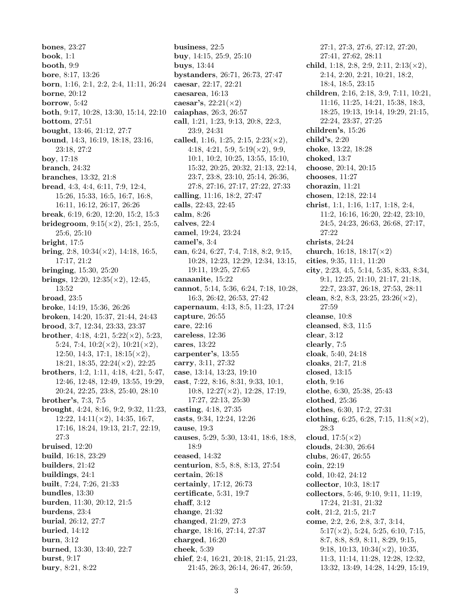bones, 23:27 book, 1:1 booth, 9:9 bore, 8:17, 13:26 born, 1:16, 2:1, 2:2, 2:4, 11:11, 26:24 borne, 20:12 borrow, 5:42 both, 9:17, 10:28, 13:30, 15:14, 22:10 bottom, 27:51 bought, 13:46, 21:12, 27:7 bound, 14:3, 16:19, 18:18, 23:16, 23:18, 27:2 boy, 17:18 branch, 24:32 branches, 13:32, 21:8 bread, 4:3, 4:4, 6:11, 7:9, 12:4, 15:26, 15:33, 16:5, 16:7, 16:8, 16:11, 16:12, 26:17, 26:26 break, 6:19, 6:20, 12:20, 15:2, 15:3 bridegroom,  $9:15(\times2)$ ,  $25:1$ ,  $25:5$ , 25:6, 25:10 bright, 17:5 bring, 2:8, 10:34(×2), 14:18, 16:5, 17:17, 21:2 bringing, 15:30, 25:20 brings,  $12:20$ ,  $12:35(\times2)$ ,  $12:45$ , 13:52 broad, 23:5 broke, 14:19, 15:36, 26:26 broken, 14:20, 15:37, 21:44, 24:43 brood, 3:7, 12:34, 23:33, 23:37 brother, 4:18, 4:21, 5:22( $\times$ 2), 5:23, 5:24, 7:4,  $10:2(\times 2)$ ,  $10:21(\times 2)$ , 12:50, 14:3, 17:1,  $18:15 \times 2$ , 18:21, 18:35, 22:24(×2), 22:25 brothers, 1:2, 1:11, 4:18, 4:21, 5:47, 12:46, 12:48, 12:49, 13:55, 19:29, 20:24, 22:25, 23:8, 25:40, 28:10 brother's, 7:3, 7:5 brought, 4:24, 8:16, 9:2, 9:32, 11:23, 12:22, 14:11 $(\times 2)$ , 14:35, 16:7, 17:16, 18:24, 19:13, 21:7, 22:19, 27:3 bruised, 12:20 build, 16:18, 23:29 builders, 21:42 buildings, 24:1 built, 7:24, 7:26, 21:33 bundles, 13:30 burden, 11:30, 20:12, 21:5 burdens, 23:4 burial, 26:12, 27:7 buried, 14:12 burn, 3:12 burned, 13:30, 13:40, 22:7 burst, 9:17 bury, 8:21, 8:22

business, 22:5 buy, 14:15, 25:9, 25:10 buys, 13:44 bystanders, 26:71, 26:73, 27:47 caesar, 22:17, 22:21 caesarea, 16:13 caesar's,  $22:21(\times2)$ caiaphas, 26:3, 26:57 call, 1:21, 1:23, 9:13, 20:8, 22:3, 23:9, 24:31 called, 1:16, 1:25, 2:15, 2:23( $\times$ 2), 4:18, 4:21, 5:9, 5:19( $\times$ 2), 9:9, 10:1, 10:2, 10:25, 13:55, 15:10, 15:32, 20:25, 20:32, 21:13, 22:14, 23:7, 23:8, 23:10, 25:14, 26:36, 27:8, 27:16, 27:17, 27:22, 27:33 calling, 11:16, 18:2, 27:47 calls, 22:43, 22:45 calm, 8:26 calves, 22:4 camel, 19:24, 23:24 camel's, 3:4 can, 6:24, 6:27, 7:4, 7:18, 8:2, 9:15, 10:28, 12:23, 12:29, 12:34, 13:15, 19:11, 19:25, 27:65 canaanite, 15:22 cannot, 5:14, 5:36, 6:24, 7:18, 10:28, 16:3, 26:42, 26:53, 27:42 capernaum, 4:13, 8:5, 11:23, 17:24 capture, 26:55 care, 22:16 careless, 12:36 cares, 13:22 carpenter's, 13:55 carry, 3:11, 27:32 case, 13:14, 13:23, 19:10 cast, 7:22, 8:16, 8:31, 9:33, 10:1, 10:8, 12:27(×2), 12:28, 17:19, 17:27, 22:13, 25:30 casting, 4:18, 27:35 casts, 9:34, 12:24, 12:26 cause, 19:3 causes, 5:29, 5:30, 13:41, 18:6, 18:8, 18:9 ceased, 14:32 centurion, 8:5, 8:8, 8:13, 27:54 certain, 26:18 certainly, 17:12, 26:73 certificate, 5:31, 19:7 chaff, 3:12 change, 21:32 changed, 21:29, 27:3 charge, 18:16, 27:14, 27:37 charged, 16:20 cheek, 5:39 chief, 2:4, 16:21, 20:18, 21:15, 21:23, 21:45, 26:3, 26:14, 26:47, 26:59,

27:1, 27:3, 27:6, 27:12, 27:20, 27:41, 27:62, 28:11 child, 1:18, 2:8, 2:9, 2:11, 2:13( $\times$ 2), 2:14, 2:20, 2:21, 10:21, 18:2, 18:4, 18:5, 23:15 children, 2:16, 2:18, 3:9, 7:11, 10:21, 11:16, 11:25, 14:21, 15:38, 18:3, 18:25, 19:13, 19:14, 19:29, 21:15, 22:24, 23:37, 27:25 children's, 15:26 child's, 2:20 choke, 13:22, 18:28 choked, 13:7 choose, 20:14, 20:15 chooses, 11:27 chorazin, 11:21 chosen, 12:18, 22:14 christ, 1:1, 1:16, 1:17, 1:18, 2:4, 11:2, 16:16, 16:20, 22:42, 23:10, 24:5, 24:23, 26:63, 26:68, 27:17, 27:22 christs, 24:24 church, 16:18, 18:17( $\times$ 2) cities, 9:35, 11:1, 11:20 city, 2:23, 4:5, 5:14, 5:35, 8:33, 8:34, 9:1, 12:25, 21:10, 21:17, 21:18, 22:7, 23:37, 26:18, 27:53, 28:11 clean, 8:2, 8:3, 23:25, 23:26( $\times$ 2), 27:59 cleanse, 10:8 cleansed, 8:3, 11:5 clear, 3:12 clearly, 7:5 cloak, 5:40, 24:18 cloaks, 21:7, 21:8 closed, 13:15 cloth, 9:16 clothe, 6:30, 25:38, 25:43 clothed, 25:36 clothes, 6:30, 17:2, 27:31 clothing, 6:25, 6:28, 7:15,  $11:8(\times2)$ , 28:3 cloud,  $17:5(\times2)$ clouds, 24:30, 26:64 clubs, 26:47, 26:55 coin, 22:19 cold, 10:42, 24:12 collector, 10:3, 18:17 collectors, 5:46, 9:10, 9:11, 11:19, 17:24, 21:31, 21:32 colt, 21:2, 21:5, 21:7 come, 2:2, 2:6, 2:8, 3:7, 3:14,  $5:17(\times2)$ ,  $5:24$ ,  $5:25$ ,  $6:10$ ,  $7:15$ , 8:7, 8:8, 8:9, 8:11, 8:29, 9:15, 9:18, 10:13,  $10:34 \times 2$ , 10:35, 11:3, 11:14, 11:28, 12:28, 12:32, 13:32, 13:49, 14:28, 14:29, 15:19,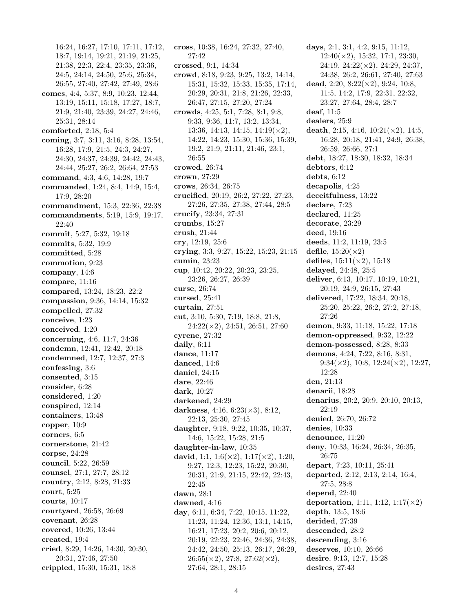16:24, 16:27, 17:10, 17:11, 17:12, 18:7, 19:14, 19:21, 21:19, 21:25, 21:38, 22:3, 22:4, 23:35, 23:36, 24:5, 24:14, 24:50, 25:6, 25:34, 26:55, 27:40, 27:42, 27:49, 28:6 comes, 4:4, 5:37, 8:9, 10:23, 12:44, 13:19, 15:11, 15:18, 17:27, 18:7, 21:9, 21:40, 23:39, 24:27, 24:46, 25:31, 28:14 comforted, 2:18, 5:4 coming, 3:7, 3:11, 3:16, 8:28, 13:54, 16:28, 17:9, 21:5, 24:3, 24:27, 24:30, 24:37, 24:39, 24:42, 24:43, 24:44, 25:27, 26:2, 26:64, 27:53 command, 4:3, 4:6, 14:28, 19:7 commanded, 1:24, 8:4, 14:9, 15:4, 17:9, 28:20 commandment, 15:3, 22:36, 22:38 commandments, 5:19, 15:9, 19:17, 22:40 commit, 5:27, 5:32, 19:18 commits, 5:32, 19:9 committed, 5:28 commotion, 9:23 company, 14:6 compare, 11:16 compared, 13:24, 18:23, 22:2 compassion, 9:36, 14:14, 15:32 compelled, 27:32 conceive, 1:23 conceived, 1:20 concerning, 4:6, 11:7, 24:36 condemn, 12:41, 12:42, 20:18 condemned, 12:7, 12:37, 27:3 confessing, 3:6 consented, 3:15 consider, 6:28 considered, 1:20 conspired, 12:14 containers, 13:48 copper, 10:9 corners, 6:5 cornerstone, 21:42 corpse, 24:28 council, 5:22, 26:59 counsel, 27:1, 27:7, 28:12 country, 2:12, 8:28, 21:33 court, 5:25 courts, 10:17 courtyard, 26:58, 26:69 covenant, 26:28 covered, 10:26, 13:44 created, 19:4 cried, 8:29, 14:26, 14:30, 20:30, 20:31, 27:46, 27:50 crippled, 15:30, 15:31, 18:8

cross, 10:38, 16:24, 27:32, 27:40, 27:42 crossed, 9:1, 14:34 crowd, 8:18, 9:23, 9:25, 13:2, 14:14, 15:31, 15:32, 15:33, 15:35, 17:14, 20:29, 20:31, 21:8, 21:26, 22:33, 26:47, 27:15, 27:20, 27:24 crowds, 4:25, 5:1, 7:28, 8:1, 9:8, 9:33, 9:36, 11:7, 13:2, 13:34, 13:36, 14:13, 14:15,  $14:19 \times 2$ ), 14:22, 14:23, 15:30, 15:36, 15:39, 19:2, 21:9, 21:11, 21:46, 23:1, 26:55 crowed, 26:74 crown, 27:29 crows, 26:34, 26:75 crucified, 20:19, 26:2, 27:22, 27:23, 27:26, 27:35, 27:38, 27:44, 28:5 crucify, 23:34, 27:31 crumbs, 15:27 crush, 21:44 cry, 12:19, 25:6 crying, 3:3, 9:27, 15:22, 15:23, 21:15 cumin, 23:23 cup, 10:42, 20:22, 20:23, 23:25, 23:26, 26:27, 26:39 curse, 26:74 cursed, 25:41 curtain, 27:51 cut, 3:10, 5:30, 7:19, 18:8, 21:8,  $24:22(\times2), 24:51, 26:51, 27:60$ cyrene, 27:32 daily, 6:11 dance, 11:17 danced, 14:6 daniel, 24:15 dare, 22:46 dark, 10:27 darkened, 24:29 darkness, 4:16, 6:23( $\times$ 3), 8:12, 22:13, 25:30, 27:45 daughter, 9:18, 9:22, 10:35, 10:37, 14:6, 15:22, 15:28, 21:5 daughter-in-law, 10:35 david, 1:1, 1:6( $\times$ 2), 1:17( $\times$ 2), 1:20, 9:27, 12:3, 12:23, 15:22, 20:30, 20:31, 21:9, 21:15, 22:42, 22:43, 22:45 dawn, 28:1 dawned, 4:16 day, 6:11, 6:34, 7:22, 10:15, 11:22, 11:23, 11:24, 12:36, 13:1, 14:15, 16:21, 17:23, 20:2, 20:6, 20:12, 20:19, 22:23, 22:46, 24:36, 24:38, 24:42, 24:50, 25:13, 26:17, 26:29,  $26:55(\times2), 27:8, 27:62(\times2),$ 27:64, 28:1, 28:15

days, 2:1, 3:1, 4:2, 9:15, 11:12,  $12:40(\times2)$ , 15:32, 17:1, 23:30,  $24:19, 24:22(\times 2), 24:29, 24:37,$ 24:38, 26:2, 26:61, 27:40, 27:63 dead,  $2:20$ ,  $8:22(\times2)$ ,  $9:24$ ,  $10:8$ , 11:5, 14:2, 17:9, 22:31, 22:32, 23:27, 27:64, 28:4, 28:7 deaf, 11:5 dealers, 25:9 death, 2:15, 4:16,  $10:21(\times 2)$ , 14:5, 16:28, 20:18, 21:41, 24:9, 26:38, 26:59, 26:66, 27:1 debt, 18:27, 18:30, 18:32, 18:34 debtors, 6:12 debts, 6:12 decapolis, 4:25 deceitfulness, 13:22 declare, 7:23 declared, 11:25 decorate, 23:29 deed, 19:16 deeds, 11:2, 11:19, 23:5 defile,  $15:20(\times2)$ defiles,  $15:11(\times2)$ ,  $15:18$ delayed, 24:48, 25:5 deliver, 6:13, 10:17, 10:19, 10:21, 20:19, 24:9, 26:15, 27:43 delivered, 17:22, 18:34, 20:18, 25:20, 25:22, 26:2, 27:2, 27:18, 27:26 demon, 9:33, 11:18, 15:22, 17:18 demon-oppressed, 9:32, 12:22 demon-possessed, 8:28, 8:33 demons, 4:24, 7:22, 8:16, 8:31, 9:34( $\times$ 2), 10:8, 12:24( $\times$ 2), 12:27, 12:28 den, 21:13 denarii, 18:28 denarius, 20:2, 20:9, 20:10, 20:13, 22:19 denied, 26:70, 26:72 denies, 10:33 denounce, 11:20 deny, 10:33, 16:24, 26:34, 26:35, 26:75 depart, 7:23, 10:11, 25:41 departed, 2:12, 2:13, 2:14, 16:4, 27:5, 28:8 depend, 22:40 deportation, 1:11, 1:12,  $1:17(x2)$ depth, 13:5, 18:6 derided, 27:39 descended, 28:2 descending, 3:16 deserves, 10:10, 26:66 desire, 9:13, 12:7, 15:28 desires, 27:43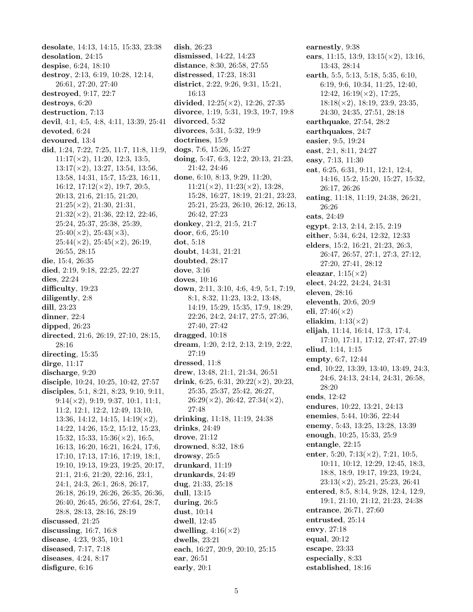desolate, 14:13, 14:15, 15:33, 23:38 desolation, 24:15 despise, 6:24, 18:10 destroy, 2:13, 6:19, 10:28, 12:14, 26:61, 27:20, 27:40 destroyed, 9:17, 22:7 destroys, 6:20 destruction, 7:13 devil, 4:1, 4:5, 4:8, 4:11, 13:39, 25:41 devoted, 6:24 devoured, 13:4 did, 1:24, 7:22, 7:25, 11:7, 11:8, 11:9, 11:17(×2), 11:20, 12:3, 13:5, 13:17(×2), 13:27, 13:54, 13:56, 13:58, 14:31, 15:7, 15:23, 16:11, 16:12, 17:12(×2), 19:7, 20:5, 20:13, 21:6, 21:15, 21:20,  $21:25(\times2), 21:30, 21:31,$  $21:32(\times2)$ ,  $21:36$ ,  $22:12$ ,  $22:46$ , 25:24, 25:37, 25:38, 25:39,  $25:40(\times2), 25:43(\times3),$  $25:44(\times2), 25:45(\times2), 26:19,$ 26:55, 28:15 die, 15:4, 26:35 died, 2:19, 9:18, 22:25, 22:27 dies, 22:24 difficulty, 19:23 diligently, 2:8 dill, 23:23 dinner, 22:4 dipped, 26:23 directed, 21:6, 26:19, 27:10, 28:15, 28:16 directing, 15:35 dirge, 11:17 discharge, 9:20 disciple, 10:24, 10:25, 10:42, 27:57 disciples, 5:1, 8:21, 8:23, 9:10, 9:11,  $9:14(\times2)$ ,  $9:19$ ,  $9:37$ ,  $10:1$ ,  $11:1$ , 11:2, 12:1, 12:2, 12:49, 13:10, 13:36, 14:12, 14:15, 14:19(×2), 14:22, 14:26, 15:2, 15:12, 15:23, 15:32, 15:33, 15:36(×2), 16:5, 16:13, 16:20, 16:21, 16:24, 17:6, 17:10, 17:13, 17:16, 17:19, 18:1, 19:10, 19:13, 19:23, 19:25, 20:17, 21:1, 21:6, 21:20, 22:16, 23:1, 24:1, 24:3, 26:1, 26:8, 26:17, 26:18, 26:19, 26:26, 26:35, 26:36, 26:40, 26:45, 26:56, 27:64, 28:7, 28:8, 28:13, 28:16, 28:19 discussed, 21:25 discussing, 16:7, 16:8 disease, 4:23, 9:35, 10:1 diseased, 7:17, 7:18 diseases, 4:24, 8:17 disfigure, 6:16

dish, 26:23 dismissed, 14:22, 14:23 distance, 8:30, 26:58, 27:55 distressed, 17:23, 18:31 district, 2:22, 9:26, 9:31, 15:21, 16:13 divided,  $12:25(\times2)$ ,  $12:26$ ,  $27:35$ divorce, 1:19, 5:31, 19:3, 19:7, 19:8 divorced, 5:32 divorces, 5:31, 5:32, 19:9 doctrines, 15:9 dogs, 7:6, 15:26, 15:27 doing, 5:47, 6:3, 12:2, 20:13, 21:23, 21:42, 24:46 done, 6:10, 8:13, 9:29, 11:20,  $11:21(\times2), 11:23(\times2), 13:28,$ 15:28, 16:27, 18:19, 21:21, 23:23, 25:21, 25:23, 26:10, 26:12, 26:13, 26:42, 27:23 donkey, 21:2, 21:5, 21:7 door, 6:6, 25:10 dot, 5:18 doubt, 14:31, 21:21 doubted, 28:17 dove, 3:16 doves, 10:16 down, 2:11, 3:10, 4:6, 4:9, 5:1, 7:19, 8:1, 8:32, 11:23, 13:2, 13:48, 14:19, 15:29, 15:35, 17:9, 18:29, 22:26, 24:2, 24:17, 27:5, 27:36, 27:40, 27:42 dragged, 10:18 dream, 1:20, 2:12, 2:13, 2:19, 2:22, 27:19 dressed, 11:8 drew, 13:48, 21:1, 21:34, 26:51 drink, 6:25, 6:31, 20:22( $\times$ 2), 20:23, 25:35, 25:37, 25:42, 26:27,  $26:29(\times2), 26:42, 27:34(\times2),$ 27:48 drinking, 11:18, 11:19, 24:38 drinks, 24:49 drove, 21:12 drowned, 8:32, 18:6 drowsy, 25:5 drunkard, 11:19 drunkards, 24:49 dug, 21:33, 25:18 dull, 13:15 during, 26:5 dust, 10:14 dwell, 12:45 dwelling,  $4:16(\times2)$ dwells, 23:21 each, 16:27, 20:9, 20:10, 25:15 ear, 26:51 early, 20:1

earnestly, 9:38 ears, 11:15, 13:9,  $13:15(\times2)$ , 13:16, 13:43, 28:14 earth, 5:5, 5:13, 5:18, 5:35, 6:10, 6:19, 9:6, 10:34, 11:25, 12:40,  $12:42, 16:19(\times2), 17:25,$  $18:18 \times 2$ , 18:19, 23:9, 23:35, 24:30, 24:35, 27:51, 28:18 earthquake, 27:54, 28:2 earthquakes, 24:7 easier, 9:5, 19:24 east, 2:1, 8:11, 24:27 easy, 7:13, 11:30 eat, 6:25, 6:31, 9:11, 12:1, 12:4, 14:16, 15:2, 15:20, 15:27, 15:32, 26:17, 26:26 eating, 11:18, 11:19, 24:38, 26:21, 26:26 eats, 24:49 egypt, 2:13, 2:14, 2:15, 2:19 either, 5:34, 6:24, 12:32, 12:33 elders, 15:2, 16:21, 21:23, 26:3, 26:47, 26:57, 27:1, 27:3, 27:12, 27:20, 27:41, 28:12 eleazar,  $1:15(\times2)$ elect, 24:22, 24:24, 24:31 eleven, 28:16 eleventh, 20:6, 20:9 eli, 27:46 $(\times 2)$ eliakim,  $1:13(\times2)$ elijah, 11:14, 16:14, 17:3, 17:4, 17:10, 17:11, 17:12, 27:47, 27:49 eliud, 1:14, 1:15 empty, 6:7, 12:44 end, 10:22, 13:39, 13:40, 13:49, 24:3, 24:6, 24:13, 24:14, 24:31, 26:58, 28:20 ends, 12:42 endures, 10:22, 13:21, 24:13 enemies, 5:44, 10:36, 22:44 enemy, 5:43, 13:25, 13:28, 13:39 enough, 10:25, 15:33, 25:9 entangle, 22:15 enter, 5:20, 7:13( $\times$ 2), 7:21, 10:5, 10:11, 10:12, 12:29, 12:45, 18:3, 18:8, 18:9, 19:17, 19:23, 19:24,  $23:13(\times2), 25:21, 25:23, 26:41$ entered, 8:5, 8:14, 9:28, 12:4, 12:9, 19:1, 21:10, 21:12, 21:23, 24:38 entrance, 26:71, 27:60 entrusted, 25:14 envy, 27:18 equal, 20:12 escape, 23:33 especially, 8:33 established, 18:16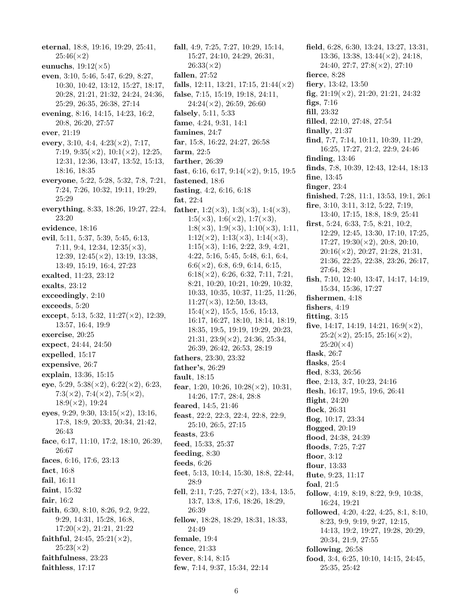eternal, 18:8, 19:16, 19:29, 25:41,  $25:46(\times2)$ eunuchs,  $19:12(\times5)$ even, 3:10, 5:46, 5:47, 6:29, 8:27, 10:30, 10:42, 13:12, 15:27, 18:17, 20:28, 21:21, 21:32, 24:24, 24:36, 25:29, 26:35, 26:38, 27:14 evening, 8:16, 14:15, 14:23, 16:2, 20:8, 26:20, 27:57 ever, 21:19 every, 3:10, 4:4, 4:23( $\times$ 2), 7:17, 7:19, 9:35( $\times$ 2), 10:1( $\times$ 2), 12:25, 12:31, 12:36, 13:47, 13:52, 15:13, 18:16, 18:35 everyone, 5:22, 5:28, 5:32, 7:8, 7:21, 7:24, 7:26, 10:32, 19:11, 19:29, 25:29 everything, 8:33, 18:26, 19:27, 22:4, 23:20 evidence, 18:16 evil, 5:11, 5:37, 5:39, 5:45, 6:13, 7:11, 9:4, 12:34, 12:35(×3), 12:39, 12:45(×2), 13:19, 13:38, 13:49, 15:19, 16:4, 27:23 exalted, 11:23, 23:12 exalts, 23:12 exceedingly, 2:10 exceeds, 5:20 except, 5:13, 5:32,  $11:27(\times2)$ , 12:39, 13:57, 16:4, 19:9 exercise, 20:25 expect, 24:44, 24:50 expelled, 15:17 expensive, 26:7 explain, 13:36, 15:15 eye, 5:29, 5:38( $\times$ 2), 6:22( $\times$ 2), 6:23, 7:3( $\times$ 2), 7:4( $\times$ 2), 7:5( $\times$ 2),  $18:9(\times2), 19:24$ eyes, 9:29, 9:30,  $13:15(\times2)$ ,  $13:16$ , 17:8, 18:9, 20:33, 20:34, 21:42, 26:43 face, 6:17, 11:10, 17:2, 18:10, 26:39, 26:67 faces, 6:16, 17:6, 23:13 fact, 16:8 fail, 16:11 faint, 15:32 fair, 16:2 faith, 6:30, 8:10, 8:26, 9:2, 9:22, 9:29, 14:31, 15:28, 16:8, 17:20(×2), 21:21, 21:22 faithful, 24:45, 25:21( $\times$ 2),  $25:23(\times2)$ faithfulness, 23:23 faithless, 17:17

fall, 4:9, 7:25, 7:27, 10:29, 15:14, 15:27, 24:10, 24:29, 26:31,  $26:33(\times2)$ fallen, 27:52 falls, 12:11, 13:21, 17:15,  $21:44(\times2)$ false, 7:15, 15:19, 19:18, 24:11,  $24:24(\times2), 26:59, 26:60$ falsely, 5:11, 5:33 fame, 4:24, 9:31, 14:1 famines, 24:7 far, 15:8, 16:22, 24:27, 26:58 farm, 22:5 farther, 26:39 fast, 6:16, 6:17, 9:14( $\times$ 2), 9:15, 19:5 fastened, 18:6 fasting, 4:2, 6:16, 6:18 fat, 22:4 father,  $1:2(\times 3)$ ,  $1:3(\times 3)$ ,  $1:4(\times 3)$ ,  $1:5(\times3), 1:6(\times2), 1:7(\times3),$  $1:8(\times3), 1:9(\times3), 1:10(\times3), 1:11,$  $1:12(\times2), 1:13(\times3), 1:14(\times3),$  $1:15(\times3)$ ,  $1:16$ ,  $2:22$ ,  $3:9$ ,  $4:21$ , 4:22, 5:16, 5:45, 5:48, 6:1, 6:4,  $6:6(\times2)$ , 6:8, 6:9, 6:14, 6:15,  $6:18(\times2)$ ,  $6:26$ ,  $6:32$ ,  $7:11$ ,  $7:21$ , 8:21, 10:20, 10:21, 10:29, 10:32, 10:33, 10:35, 10:37, 11:25, 11:26,  $11:27(\times3)$ , 12:50, 13:43,  $15:4(\times2)$ , 15:5, 15:6, 15:13, 16:17, 16:27, 18:10, 18:14, 18:19, 18:35, 19:5, 19:19, 19:29, 20:23, 21:31, 23:9(×2), 24:36, 25:34, 26:39, 26:42, 26:53, 28:19 fathers, 23:30, 23:32 father's, 26:29 fault, 18:15 fear, 1:20, 10:26,  $10:28 \times 2$ , 10:31, 14:26, 17:7, 28:4, 28:8 feared, 14:5, 21:46 feast, 22:2, 22:3, 22:4, 22:8, 22:9, 25:10, 26:5, 27:15 feasts, 23:6 feed, 15:33, 25:37 feeding, 8:30 feeds, 6:26 feet, 5:13, 10:14, 15:30, 18:8, 22:44, 28:9 fell, 2:11, 7:25, 7:27( $\times$ 2), 13:4, 13:5, 13:7, 13:8, 17:6, 18:26, 18:29, 26:39 fellow, 18:28, 18:29, 18:31, 18:33, 24:49 female, 19:4 fence, 21:33 fever, 8:14, 8:15 few, 7:14, 9:37, 15:34, 22:14

field, 6:28, 6:30, 13:24, 13:27, 13:31, 13:36, 13:38, 13:44(×2), 24:18, 24:40, 27:7, 27:8(×2), 27:10 fierce, 8:28 fiery, 13:42, 13:50 fig,  $21:19 \times 2$ ,  $21:20$ ,  $21:21$ ,  $24:32$ figs, 7:16 fill, 23:32 filled, 22:10, 27:48, 27:54 finally, 21:37 find, 7:7, 7:14, 10:11, 10:39, 11:29, 16:25, 17:27, 21:2, 22:9, 24:46 finding, 13:46 finds, 7:8, 10:39, 12:43, 12:44, 18:13 fine, 13:45 finger, 23:4 finished, 7:28, 11:1, 13:53, 19:1, 26:1 fire, 3:10, 3:11, 3:12, 5:22, 7:19, 13:40, 17:15, 18:8, 18:9, 25:41 first, 5:24, 6:33, 7:5, 8:21, 10:2, 12:29, 12:45, 13:30, 17:10, 17:25,  $17:27, 19:30(\times2), 20:8, 20:10,$  $20:16(\times2), 20:27, 21:28, 21:31,$ 21:36, 22:25, 22:38, 23:26, 26:17, 27:64, 28:1 fish, 7:10, 12:40, 13:47, 14:17, 14:19, 15:34, 15:36, 17:27 fishermen, 4:18 fishers,  $4:19$ fitting, 3:15 five, 14:17, 14:19, 14:21,  $16:9(\times2)$ ,  $25:2(\times2), 25:15, 25:16(\times2),$  $25:20(x4)$ flask, 26:7 flasks, 25:4 fled, 8:33, 26:56 flee, 2:13, 3:7, 10:23, 24:16 flesh, 16:17, 19:5, 19:6, 26:41 flight, 24:20 flock, 26:31 flog, 10:17, 23:34 flogged, 20:19 flood, 24:38, 24:39 floods, 7:25, 7:27 floor, 3:12 flour, 13:33 flute, 9:23, 11:17 foal, 21:5 follow, 4:19, 8:19, 8:22, 9:9, 10:38, 16:24, 19:21 followed, 4:20, 4:22, 4:25, 8:1, 8:10, 8:23, 9:9, 9:19, 9:27, 12:15, 14:13, 19:2, 19:27, 19:28, 20:29, 20:34, 21:9, 27:55 following, 26:58 food, 3:4, 6:25, 10:10, 14:15, 24:45, 25:35, 25:42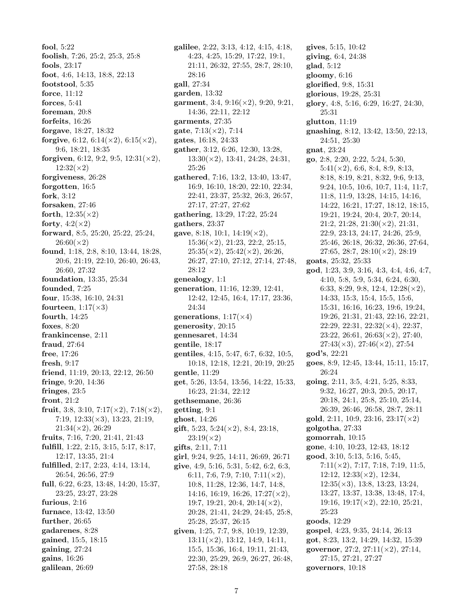fool, 5:22 foolish, 7:26, 25:2, 25:3, 25:8 fools, 23:17 foot, 4:6, 14:13, 18:8, 22:13 footstool, 5:35 force, 11:12 forces, 5:41 foreman, 20:8 forfeits, 16:26 forgave, 18:27, 18:32 forgive, 6:12, 6:14( $\times$ 2), 6:15( $\times$ 2), 9:6, 18:21, 18:35 forgiven, 6:12, 9:2, 9:5,  $12:31(\times2)$ ,  $12:32(\times2)$ forgiveness, 26:28 forgotten, 16:5 fork, 3:12 forsaken, 27:46 forth,  $12:35(\times2)$ forty,  $4:2(\times 2)$ forward, 8:5, 25:20, 25:22, 25:24,  $26:60(x2)$ found, 1:18, 2:8, 8:10, 13:44, 18:28, 20:6, 21:19, 22:10, 26:40, 26:43, 26:60, 27:32 foundation, 13:35, 25:34 founded, 7:25 four, 15:38, 16:10, 24:31 fourteen,  $1:17(\times3)$ fourth, 14:25 foxes, 8:20 frankincense, 2:11 fraud, 27:64 free, 17:26 fresh, 9:17 friend, 11:19, 20:13, 22:12, 26:50 fringe, 9:20, 14:36 fringes, 23:5 front, 21:2 fruit, 3:8, 3:10, 7:17( $\times$ 2), 7:18( $\times$ 2), 7:19, 12:33(×3), 13:23, 21:19,  $21:34(x2), 26:29$ fruits, 7:16, 7:20, 21:41, 21:43 fulfill, 1:22, 2:15, 3:15, 5:17, 8:17, 12:17, 13:35, 21:4 fulfilled, 2:17, 2:23, 4:14, 13:14, 26:54, 26:56, 27:9 full, 6:22, 6:23, 13:48, 14:20, 15:37, 23:25, 23:27, 23:28 furious, 2:16 furnace, 13:42, 13:50 further, 26:65 gadarenes, 8:28 gained, 15:5, 18:15 gaining, 27:24 gains, 16:26 galilean, 26:69

galilee, 2:22, 3:13, 4:12, 4:15, 4:18, 4:23, 4:25, 15:29, 17:22, 19:1, 21:11, 26:32, 27:55, 28:7, 28:10, 28:16 gall, 27:34 garden, 13:32 garment, 3:4,  $9:16(\times2)$ ,  $9:20$ ,  $9:21$ , 14:36, 22:11, 22:12 garments, 27:35 gate,  $7:13(\times2)$ ,  $7:14$ gates, 16:18, 24:33 gather, 3:12, 6:26, 12:30, 13:28,  $13:30(\times 2)$ , 13:41, 24:28, 24:31, 25:26 gathered, 7:16, 13:2, 13:40, 13:47, 16:9, 16:10, 18:20, 22:10, 22:34, 22:41, 23:37, 25:32, 26:3, 26:57, 27:17, 27:27, 27:62 gathering, 13:29, 17:22, 25:24 gathers, 23:37 gave, 8:18, 10:1,  $14:19 \times 2$ ),  $15:36(\times2)$ ,  $21:23$ ,  $22:2$ ,  $25:15$ ,  $25:35(\times2), 25:42(\times2), 26:26,$ 26:27, 27:10, 27:12, 27:14, 27:48, 28:12 genealogy, 1:1 generation, 11:16, 12:39, 12:41, 12:42, 12:45, 16:4, 17:17, 23:36, 24:34 generations,  $1:17(\times4)$ generosity, 20:15 gennesaret, 14:34 gentile, 18:17 gentiles, 4:15, 5:47, 6:7, 6:32, 10:5, 10:18, 12:18, 12:21, 20:19, 20:25 gentle, 11:29 get, 5:26, 13:54, 13:56, 14:22, 15:33, 16:23, 21:34, 22:12 gethsemane, 26:36 getting, 9:1 ghost, 14:26 gift, 5:23, 5:24( $\times$ 2), 8:4, 23:18,  $23:19(\times2)$ gifts, 2:11, 7:11 girl, 9:24, 9:25, 14:11, 26:69, 26:71 give, 4:9, 5:16, 5:31, 5:42, 6:2, 6:3, 6:11, 7:6, 7:9, 7:10, 7:11 $(\times 2)$ , 10:8, 11:28, 12:36, 14:7, 14:8, 14:16, 16:19, 16:26, 17:27( $\times$ 2), 19:7, 19:21, 20:4,  $20:14 \times 2$ , 20:28, 21:41, 24:29, 24:45, 25:8, 25:28, 25:37, 26:15 given, 1:25, 7:7, 9:8, 10:19, 12:39, 13:11(×2), 13:12, 14:9, 14:11, 15:5, 15:36, 16:4, 19:11, 21:43, 22:30, 25:29, 26:9, 26:27, 26:48, 27:58, 28:18

gives, 5:15, 10:42 giving, 6:4, 24:38 glad, 5:12 gloomy, 6:16 glorified, 9:8, 15:31 glorious, 19:28, 25:31 glory, 4:8, 5:16, 6:29, 16:27, 24:30, 25:31 glutton, 11:19 gnashing, 8:12, 13:42, 13:50, 22:13, 24:51, 25:30 gnat, 23:24 go, 2:8, 2:20, 2:22, 5:24, 5:30,  $5:41(\times2), 6:6, 8:4, 8:9, 8:13,$ 8:18, 8:19, 8:21, 8:32, 9:6, 9:13, 9:24, 10:5, 10:6, 10:7, 11:4, 11:7, 11:8, 11:9, 13:28, 14:15, 14:16, 14:22, 16:21, 17:27, 18:12, 18:15, 19:21, 19:24, 20:4, 20:7, 20:14, 21:2, 21:28, 21:30(×2), 21:31, 22:9, 23:13, 24:17, 24:26, 25:9, 25:46, 26:18, 26:32, 26:36, 27:64, 27:65, 28:7, 28:10(×2), 28:19 goats, 25:32, 25:33 god, 1:23, 3:9, 3:16, 4:3, 4:4, 4:6, 4:7, 4:10, 5:8, 5:9, 5:34, 6:24, 6:30, 6:33, 8:29, 9:8, 12:4, 12:28(×2), 14:33, 15:3, 15:4, 15:5, 15:6, 15:31, 16:16, 16:23, 19:6, 19:24, 19:26, 21:31, 21:43, 22:16, 22:21, 22:29, 22:31, 22:32(×4), 22:37,  $23:22, 26:61, 26:63(\times2), 27:40,$  $27:43(\times3), 27:46(\times2), 27:54$ god's, 22:21 goes, 8:9, 12:45, 13:44, 15:11, 15:17, 26:24 going, 2:11, 3:5, 4:21, 5:25, 8:33, 9:32, 16:27, 20:3, 20:5, 20:17, 20:18, 24:1, 25:8, 25:10, 25:14, 26:39, 26:46, 26:58, 28:7, 28:11 gold, 2:11, 10:9, 23:16, 23:17( $\times$ 2) golgotha, 27:33 gomorrah, 10:15 gone, 4:10, 10:23, 12:43, 18:12 good, 3:10, 5:13, 5:16, 5:45,  $7:11(\times2)$ ,  $7:17$ ,  $7:18$ ,  $7:19$ ,  $11:5$ ,  $12:12, 12:33(\times 2), 12:34,$ 12:35(×3), 13:8, 13:23, 13:24, 13:27, 13:37, 13:38, 13:48, 17:4, 19:16,  $19:17(\times2)$ ,  $22:10$ ,  $25:21$ , 25:23 goods, 12:29 gospel, 4:23, 9:35, 24:14, 26:13 got, 8:23, 13:2, 14:29, 14:32, 15:39 governor, 27:2, 27:11( $\times$ 2), 27:14, 27:15, 27:21, 27:27 governors, 10:18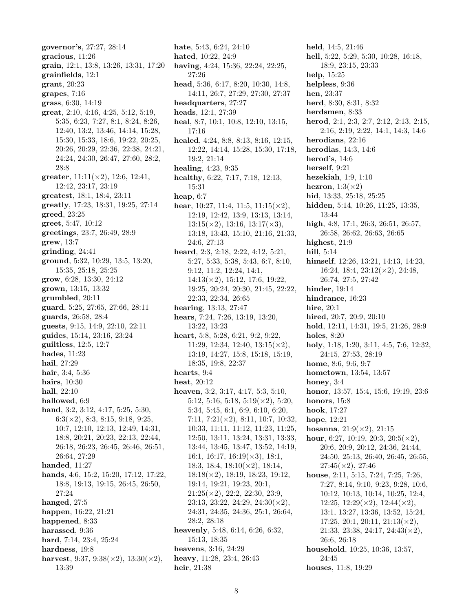governor's, 27:27, 28:14 gracious, 11:26 grain, 12:1, 13:8, 13:26, 13:31, 17:20 grainfields, 12:1 grant, 20:23 grapes, 7:16 grass, 6:30, 14:19 great, 2:10, 4:16, 4:25, 5:12, 5:19, 5:35, 6:23, 7:27, 8:1, 8:24, 8:26, 12:40, 13:2, 13:46, 14:14, 15:28, 15:30, 15:33, 18:6, 19:22, 20:25, 20:26, 20:29, 22:36, 22:38, 24:21, 24:24, 24:30, 26:47, 27:60, 28:2, 28:8 greater,  $11:11(\times2)$ ,  $12:6$ ,  $12:41$ , 12:42, 23:17, 23:19 greatest, 18:1, 18:4, 23:11 greatly, 17:23, 18:31, 19:25, 27:14 greed, 23:25 greet, 5:47, 10:12 greetings, 23:7, 26:49, 28:9 grew, 13:7 grinding, 24:41 ground, 5:32, 10:29, 13:5, 13:20, 15:35, 25:18, 25:25 grow, 6:28, 13:30, 24:12 grown, 13:15, 13:32 grumbled, 20:11 guard, 5:25, 27:65, 27:66, 28:11 guards, 26:58, 28:4 guests, 9:15, 14:9, 22:10, 22:11 guides, 15:14, 23:16, 23:24 guiltless, 12:5, 12:7 hades, 11:23 hail, 27:29 hair, 3:4, 5:36 hairs, 10:30 hall, 22:10 hallowed, 6:9 hand, 3:2, 3:12, 4:17, 5:25, 5:30,  $6:3(\times2)$ , 8:3, 8:15, 9:18, 9:25, 10:7, 12:10, 12:13, 12:49, 14:31, 18:8, 20:21, 20:23, 22:13, 22:44, 26:18, 26:23, 26:45, 26:46, 26:51, 26:64, 27:29 handed, 11:27 hands, 4:6, 15:2, 15:20, 17:12, 17:22, 18:8, 19:13, 19:15, 26:45, 26:50, 27:24 hanged, 27:5 happen, 16:22, 21:21 happened, 8:33 harassed, 9:36 hard, 7:14, 23:4, 25:24 hardness, 19:8 harvest, 9:37, 9:38( $\times$ 2), 13:30( $\times$ 2), 13:39

hate, 5:43, 6:24, 24:10 hated, 10:22, 24:9 having, 4:24, 15:36, 22:24, 22:25, 27:26 head, 5:36, 6:17, 8:20, 10:30, 14:8, 14:11, 26:7, 27:29, 27:30, 27:37 headquarters, 27:27 heads, 12:1, 27:39 heal, 8:7, 10:1, 10:8, 12:10, 13:15, 17:16 healed, 4:24, 8:8, 8:13, 8:16, 12:15, 12:22, 14:14, 15:28, 15:30, 17:18, 19:2, 21:14 healing, 4:23, 9:35 healthy, 6:22, 7:17, 7:18, 12:13, 15:31 heap, 6:7 hear, 10:27, 11:4, 11:5,  $11:15 \times 2$ ), 12:19, 12:42, 13:9, 13:13, 13:14,  $13:15(\times2)$ , 13:16, 13:17( $\times3$ ), 13:18, 13:43, 15:10, 21:16, 21:33, 24:6, 27:13 heard, 2:3, 2:18, 2:22, 4:12, 5:21, 5:27, 5:33, 5:38, 5:43, 6:7, 8:10, 9:12, 11:2, 12:24, 14:1,  $14:13(\times2)$ , 15:12, 17:6, 19:22, 19:25, 20:24, 20:30, 21:45, 22:22, 22:33, 22:34, 26:65 hearing, 13:13, 27:47 hears, 7:24, 7:26, 13:19, 13:20, 13:22, 13:23 heart, 5:8, 5:28, 6:21, 9:2, 9:22, 11:29, 12:34, 12:40,  $13:15(\times2)$ , 13:19, 14:27, 15:8, 15:18, 15:19, 18:35, 19:8, 22:37 hearts, 9:4 heat, 20:12 heaven, 3:2, 3:17, 4:17, 5:3, 5:10, 5:12, 5:16, 5:18, 5:19 $(\times 2)$ , 5:20, 5:34, 5:45, 6:1, 6:9, 6:10, 6:20, 7:11, 7:21(×2), 8:11, 10:7, 10:32, 10:33, 11:11, 11:12, 11:23, 11:25, 12:50, 13:11, 13:24, 13:31, 13:33, 13:44, 13:45, 13:47, 13:52, 14:19, 16:1, 16:17,  $16:19 \times 3$ , 18:1, 18:3, 18:4, 18:10(×2), 18:14, 18:18(×2), 18:19, 18:23, 19:12, 19:14, 19:21, 19:23, 20:1,  $21:25(\times2)$ ,  $22:2$ ,  $22:30$ ,  $23:9$ ,  $23:13, 23:22, 24:29, 24:30(\times2),$ 24:31, 24:35, 24:36, 25:1, 26:64, 28:2, 28:18 heavenly, 5:48, 6:14, 6:26, 6:32, 15:13, 18:35 heavens, 3:16, 24:29 heavy, 11:28, 23:4, 26:43 heir, 21:38

held, 14:5, 21:46 hell, 5:22, 5:29, 5:30, 10:28, 16:18, 18:9, 23:15, 23:33 help, 15:25 helpless, 9:36 hen, 23:37 herd, 8:30, 8:31, 8:32 herdsmen, 8:33 herod, 2:1, 2:3, 2:7, 2:12, 2:13, 2:15, 2:16, 2:19, 2:22, 14:1, 14:3, 14:6 herodians, 22:16 herodias, 14:3, 14:6 herod's, 14:6 herself, 9:21 hezekiah, 1:9, 1:10 hezron,  $1:3(\times 2)$ hid, 13:33, 25:18, 25:25 hidden, 5:14, 10:26, 11:25, 13:35, 13:44 high, 4:8, 17:1, 26:3, 26:51, 26:57, 26:58, 26:62, 26:63, 26:65 highest, 21:9 hill, 5:14 himself, 12:26, 13:21, 14:13, 14:23, 16:24, 18:4, 23:12(×2), 24:48, 26:74, 27:5, 27:42 hinder, 19:14 hindrance, 16:23 hire, 20:1 hired, 20:7, 20:9, 20:10 hold, 12:11, 14:31, 19:5, 21:26, 28:9 holes, 8:20 holy, 1:18, 1:20, 3:11, 4:5, 7:6, 12:32, 24:15, 27:53, 28:19 home, 8:6, 9:6, 9:7 hometown, 13:54, 13:57 honey, 3:4 honor, 13:57, 15:4, 15:6, 19:19, 23:6 honors, 15:8 hook, 17:27 hope, 12:21 hosanna,  $21:9(x2)$ ,  $21:15$ hour, 6:27, 10:19, 20:3, 20:5( $\times$ 2), 20:6, 20:9, 20:12, 24:36, 24:44, 24:50, 25:13, 26:40, 26:45, 26:55,  $27:45(x2), 27:46$ house, 2:11, 5:15, 7:24, 7:25, 7:26, 7:27, 8:14, 9:10, 9:23, 9:28, 10:6, 10:12, 10:13, 10:14, 10:25, 12:4,  $12:25, 12:29(\times 2), 12:44(\times 2),$ 13:1, 13:27, 13:36, 13:52, 15:24, 17:25, 20:1, 20:11,  $21:13(\times2)$ , 21:33, 23:38, 24:17, 24:43(×2), 26:6, 26:18 household, 10:25, 10:36, 13:57, 24:45 houses, 11:8, 19:29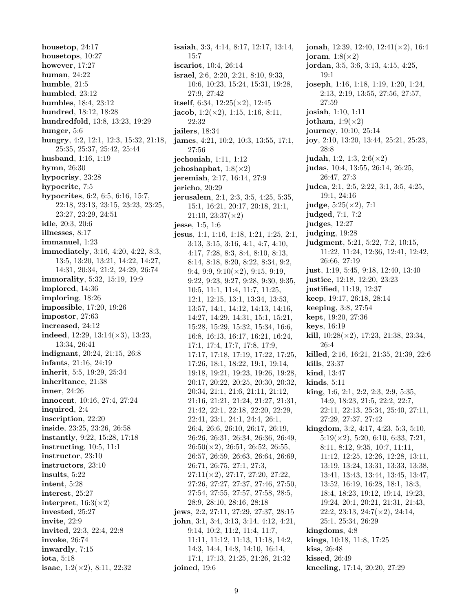housetop, 24:17 housetops, 10:27 however, 17:27 human, 24:22 humble, 21:5 humbled, 23:12 humbles, 18:4, 23:12 hundred, 18:12, 18:28 hundredfold, 13:8, 13:23, 19:29 hunger, 5:6 hungry, 4:2, 12:1, 12:3, 15:32, 21:18, 25:35, 25:37, 25:42, 25:44 husband, 1:16, 1:19 hymn, 26:30 hypocrisy, 23:28 hypocrite, 7:5 hypocrites, 6:2, 6:5, 6:16, 15:7, 22:18, 23:13, 23:15, 23:23, 23:25, 23:27, 23:29, 24:51 idle, 20:3, 20:6 illnesses, 8:17 immanuel, 1:23 immediately, 3:16, 4:20, 4:22, 8:3, 13:5, 13:20, 13:21, 14:22, 14:27, 14:31, 20:34, 21:2, 24:29, 26:74 immorality, 5:32, 15:19, 19:9 implored, 14:36 imploring, 18:26 impossible, 17:20, 19:26 impostor, 27:63 increased, 24:12 indeed,  $12:29$ ,  $13:14 \times 3$ ,  $13:23$ , 13:34, 26:41 indignant, 20:24, 21:15, 26:8 infants, 21:16, 24:19 inherit, 5:5, 19:29, 25:34 inheritance, 21:38 inner, 24:26 innocent, 10:16, 27:4, 27:24 inquired, 2:4 inscription, 22:20 inside, 23:25, 23:26, 26:58 instantly, 9:22, 15:28, 17:18 instructing, 10:5, 11:1 instructor, 23:10 instructors, 23:10 insults, 5:22 intent, 5:28 interest, 25:27 interpret,  $16:3(\times 2)$ invested, 25:27 invite, 22:9 invited, 22:3, 22:4, 22:8 invoke, 26:74 inwardly, 7:15 iota, 5:18 isaac,  $1:2(\times 2)$ , 8:11, 22:32

isaiah, 3:3, 4:14, 8:17, 12:17, 13:14, 15:7 iscariot, 10:4, 26:14 israel, 2:6, 2:20, 2:21, 8:10, 9:33, 10:6, 10:23, 15:24, 15:31, 19:28, 27:9, 27:42 itself, 6:34,  $12:25(\times2)$ , 12:45 jacob,  $1:2(\times 2)$ ,  $1:15$ ,  $1:16$ ,  $8:11$ , 22:32 jailers, 18:34 james, 4:21, 10:2, 10:3, 13:55, 17:1, 27:56 jechoniah, 1:11, 1:12 jehoshaphat,  $1:8(\times 2)$ jeremiah, 2:17, 16:14, 27:9 jericho, 20:29 jerusalem, 2:1, 2:3, 3:5, 4:25, 5:35, 15:1, 16:21, 20:17, 20:18, 21:1,  $21:10, 23:37(\times2)$ jesse, 1:5, 1:6 jesus, 1:1, 1:16, 1:18, 1:21, 1:25, 2:1, 3:13, 3:15, 3:16, 4:1, 4:7, 4:10, 4:17, 7:28, 8:3, 8:4, 8:10, 8:13, 8:14, 8:18, 8:20, 8:22, 8:34, 9:2, 9:4, 9:9, 9:10( $\times$ 2), 9:15, 9:19, 9:22, 9:23, 9:27, 9:28, 9:30, 9:35, 10:5, 11:1, 11:4, 11:7, 11:25, 12:1, 12:15, 13:1, 13:34, 13:53, 13:57, 14:1, 14:12, 14:13, 14:16, 14:27, 14:29, 14:31, 15:1, 15:21, 15:28, 15:29, 15:32, 15:34, 16:6, 16:8, 16:13, 16:17, 16:21, 16:24, 17:1, 17:4, 17:7, 17:8, 17:9, 17:17, 17:18, 17:19, 17:22, 17:25, 17:26, 18:1, 18:22, 19:1, 19:14, 19:18, 19:21, 19:23, 19:26, 19:28, 20:17, 20:22, 20:25, 20:30, 20:32, 20:34, 21:1, 21:6, 21:11, 21:12, 21:16, 21:21, 21:24, 21:27, 21:31, 21:42, 22:1, 22:18, 22:20, 22:29, 22:41, 23:1, 24:1, 24:4, 26:1, 26:4, 26:6, 26:10, 26:17, 26:19, 26:26, 26:31, 26:34, 26:36, 26:49,  $26:50(\times2)$ , 26:51, 26:52, 26:55, 26:57, 26:59, 26:63, 26:64, 26:69, 26:71, 26:75, 27:1, 27:3,  $27:11(\times2), 27:17, 27:20, 27:22,$ 27:26, 27:27, 27:37, 27:46, 27:50, 27:54, 27:55, 27:57, 27:58, 28:5, 28:9, 28:10, 28:16, 28:18 jews, 2:2, 27:11, 27:29, 27:37, 28:15 john, 3:1, 3:4, 3:13, 3:14, 4:12, 4:21, 9:14, 10:2, 11:2, 11:4, 11:7, 11:11, 11:12, 11:13, 11:18, 14:2, 14:3, 14:4, 14:8, 14:10, 16:14, 17:1, 17:13, 21:25, 21:26, 21:32 joined, 19:6

jonah, 12:39, 12:40, 12:41 $(\times 2)$ , 16:4 joram,  $1:8 \times 2$ jordan, 3:5, 3:6, 3:13, 4:15, 4:25,  $19.1$ joseph, 1:16, 1:18, 1:19, 1:20, 1:24, 2:13, 2:19, 13:55, 27:56, 27:57, 27:59 josiah, 1:10, 1:11 jotham,  $1:9 \times 2$ journey, 10:10, 25:14 joy, 2:10, 13:20, 13:44, 25:21, 25:23, 28:8 judah, 1:2, 1:3, 2:6 $(\times 2)$ judas, 10:4, 13:55, 26:14, 26:25, 26:47, 27:3 judea, 2:1, 2:5, 2:22, 3:1, 3:5, 4:25, 19:1, 24:16 **judge**,  $5:25(\times 2)$ ,  $7:1$ judged, 7:1, 7:2 judges, 12:27 judging, 19:28 judgment, 5:21, 5:22, 7:2, 10:15, 11:22, 11:24, 12:36, 12:41, 12:42, 26:66, 27:19 just, 1:19, 5:45, 9:18, 12:40, 13:40 justice, 12:18, 12:20, 23:23 justified, 11:19, 12:37 keep, 19:17, 26:18, 28:14 keeping, 3:8, 27:54 kept, 19:20, 27:36 keys, 16:19 kill,  $10:28(\times 2)$ , 17:23, 21:38, 23:34, 26:4 killed, 2:16, 16:21, 21:35, 21:39, 22:6 kills, 23:37 kind, 13:47 kinds, 5:11 king, 1:6, 2:1, 2:2, 2:3, 2:9, 5:35, 14:9, 18:23, 21:5, 22:2, 22:7, 22:11, 22:13, 25:34, 25:40, 27:11, 27:29, 27:37, 27:42 kingdom, 3:2, 4:17, 4:23, 5:3, 5:10,  $5:19(\times2)$ ,  $5:20$ ,  $6:10$ ,  $6:33$ ,  $7:21$ , 8:11, 8:12, 9:35, 10:7, 11:11, 11:12, 12:25, 12:26, 12:28, 13:11, 13:19, 13:24, 13:31, 13:33, 13:38, 13:41, 13:43, 13:44, 13:45, 13:47, 13:52, 16:19, 16:28, 18:1, 18:3, 18:4, 18:23, 19:12, 19:14, 19:23, 19:24, 20:1, 20:21, 21:31, 21:43, 22:2, 23:13, 24:7(×2), 24:14, 25:1, 25:34, 26:29 kingdoms, 4:8 kings, 10:18, 11:8, 17:25 kiss, 26:48 kissed, 26:49 kneeling, 17:14, 20:20, 27:29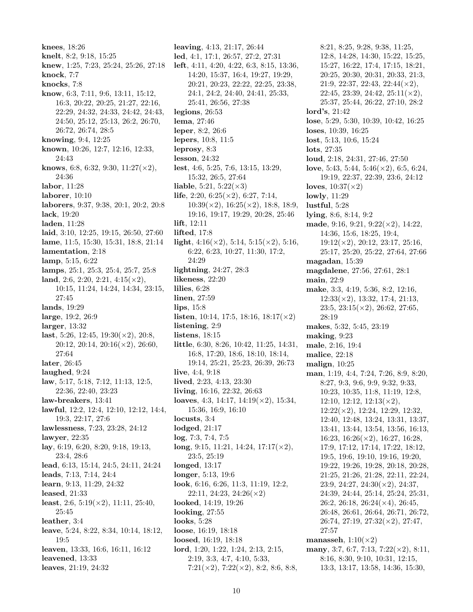knees, 18:26 knelt, 8:2, 9:18, 15:25 knew, 1:25, 7:23, 25:24, 25:26, 27:18 knock, 7:7 knocks, 7:8 know, 6:3, 7:11, 9:6, 13:11, 15:12, 16:3, 20:22, 20:25, 21:27, 22:16, 22:29, 24:32, 24:33, 24:42, 24:43, 24:50, 25:12, 25:13, 26:2, 26:70, 26:72, 26:74, 28:5 knowing, 9:4, 12:25 known, 10:26, 12:7, 12:16, 12:33, 24:43 knows, 6:8, 6:32, 9:30,  $11:27(\times2)$ , 24:36 labor, 11:28 laborer, 10:10 laborers, 9:37, 9:38, 20:1, 20:2, 20:8 lack, 19:20 laden, 11:28 laid, 3:10, 12:25, 19:15, 26:50, 27:60 lame, 11:5, 15:30, 15:31, 18:8, 21:14 lamentation, 2:18 lamp, 5:15, 6:22 lamps, 25:1, 25:3, 25:4, 25:7, 25:8 land, 2:6, 2:20, 2:21, 4:15( $\times$ 2), 10:15, 11:24, 14:24, 14:34, 23:15, 27:45 lands, 19:29 large, 19:2, 26:9 larger, 13:32 last, 5:26, 12:45,  $19:30(\times2)$ , 20:8, 20:12, 20:14,  $20:16(\times2)$ , 26:60, 27:64 later, 26:45 laughed, 9:24 law, 5:17, 5:18, 7:12, 11:13, 12:5, 22:36, 22:40, 23:23 law-breakers, 13:41 lawful, 12:2, 12:4, 12:10, 12:12, 14:4, 19:3, 22:17, 27:6 lawlessness, 7:23, 23:28, 24:12 lawyer, 22:35 lay, 6:19, 6:20, 8:20, 9:18, 19:13, 23:4, 28:6 lead, 6:13, 15:14, 24:5, 24:11, 24:24 leads, 7:13, 7:14, 24:4 learn, 9:13, 11:29, 24:32 leased, 21:33 least, 2:6,  $5:19(\times2)$ , 11:11, 25:40, 25:45 leather, 3:4 leave, 5:24, 8:22, 8:34, 10:14, 18:12, 19:5 leaven, 13:33, 16:6, 16:11, 16:12 leavened, 13:33 leaves, 21:19, 24:32

leaving, 4:13, 21:17, 26:44 led, 4:1, 17:1, 26:57, 27:2, 27:31 left, 4:11, 4:20, 4:22, 6:3, 8:15, 13:36, 14:20, 15:37, 16:4, 19:27, 19:29, 20:21, 20:23, 22:22, 22:25, 23:38, 24:1, 24:2, 24:40, 24:41, 25:33, 25:41, 26:56, 27:38 legions, 26:53 lema, 27:46 leper, 8:2, 26:6 lepers, 10:8, 11:5 leprosy, 8:3 lesson, 24:32 lest, 4:6, 5:25, 7:6, 13:15, 13:29, 15:32, 26:5, 27:64 liable, 5:21, 5:22 $(\times 3)$ life, 2:20,  $6:25(\times2)$ ,  $6:27$ ,  $7:14$ ,  $10:39(\times2)$ ,  $16:25(\times2)$ , 18:8, 18:9, 19:16, 19:17, 19:29, 20:28, 25:46 lift, 12:11 lifted, 17:8 light,  $4:16(\times2)$ ,  $5:14$ ,  $5:15(\times2)$ ,  $5:16$ , 6:22, 6:23, 10:27, 11:30, 17:2, 24:29 lightning, 24:27, 28:3 likeness, 22:20 lilies, 6:28 linen, 27:59 lips, 15:8 listen, 10:14, 17:5, 18:16, 18:17( $\times$ 2) listening, 2:9 listens, 18:15 little, 6:30, 8:26, 10:42, 11:25, 14:31, 16:8, 17:20, 18:6, 18:10, 18:14, 19:14, 25:21, 25:23, 26:39, 26:73 live, 4:4, 9:18 lived, 2:23, 4:13, 23:30 living, 16:16, 22:32, 26:63 loaves, 4:3, 14:17, 14:19 $(\times 2)$ , 15:34, 15:36, 16:9, 16:10 locusts, 3:4 lodged, 21:17 log, 7:3, 7:4, 7:5 long, 9:15, 11:21, 14:24, 17:17(×2), 23:5, 25:19 longed, 13:17 longer, 5:13, 19:6 look, 6:16, 6:26, 11:3, 11:19, 12:2,  $22:11, 24:23, 24:26(\times2)$ looked, 14:19, 19:26 looking, 27:55 looks, 5:28 loose, 16:19, 18:18 loosed, 16:19, 18:18 lord, 1:20, 1:22, 1:24, 2:13, 2:15, 2:19, 3:3, 4:7, 4:10, 5:33,  $7:21(\times2)$ ,  $7:22(\times2)$ , 8:2, 8:6, 8:8,

8:21, 8:25, 9:28, 9:38, 11:25, 12:8, 14:28, 14:30, 15:22, 15:25, 15:27, 16:22, 17:4, 17:15, 18:21, 20:25, 20:30, 20:31, 20:33, 21:3, 21:9, 22:37, 22:43, 22:44(×2),  $22:45, 23:39, 24:42, 25:11(\times2),$ 25:37, 25:44, 26:22, 27:10, 28:2 lord's, 21:42 lose, 5:29, 5:30, 10:39, 10:42, 16:25 loses, 10:39, 16:25 lost, 5:13, 10:6, 15:24 lots, 27:35 loud, 2:18, 24:31, 27:46, 27:50 love, 5:43, 5:44, 5:46( $\times$ 2), 6:5, 6:24, 19:19, 22:37, 22:39, 23:6, 24:12 loves,  $10:37(\times2)$ lowly, 11:29 lustful, 5:28 lying, 8:6, 8:14, 9:2 made, 9:16, 9:21, 9:22( $\times$ 2), 14:22, 14:36, 15:6, 18:25, 19:4,  $19:12(\times2)$ ,  $20:12$ ,  $23:17$ ,  $25:16$ , 25:17, 25:20, 25:22, 27:64, 27:66 magadan, 15:39 magdalene, 27:56, 27:61, 28:1 main, 22:9 make, 3:3, 4:19, 5:36, 8:2, 12:16,  $12:33(\times 2)$ , 13:32, 17:4, 21:13,  $23:5, 23:15(\times 2), 26:62, 27:65,$ 28:19 makes, 5:32, 5:45, 23:19 making, 9:23 male, 2:16, 19:4 malice, 22:18 malign, 10:25 man, 1:19, 4:4, 7:24, 7:26, 8:9, 8:20, 8:27, 9:3, 9:6, 9:9, 9:32, 9:33, 10:23, 10:35, 11:8, 11:19, 12:8,  $12:10, 12:12, 12:13(\times 2),$ 12:22(×2), 12:24, 12:29, 12:32, 12:40, 12:48, 13:24, 13:31, 13:37, 13:41, 13:44, 13:54, 13:56, 16:13, 16:23,  $16:26(\times2)$ ,  $16:27$ ,  $16:28$ , 17:9, 17:12, 17:14, 17:22, 18:12, 19:5, 19:6, 19:10, 19:16, 19:20, 19:22, 19:26, 19:28, 20:18, 20:28, 21:25, 21:26, 21:28, 22:11, 22:24, 23:9, 24:27, 24:30(×2), 24:37, 24:39, 24:44, 25:14, 25:24, 25:31, 26:2, 26:18, 26:24(×4), 26:45, 26:48, 26:61, 26:64, 26:71, 26:72, 26:74, 27:19, 27:32(×2), 27:47, 27:57 manasseh,  $1:10(\times2)$ many, 3:7, 6:7, 7:13, 7:22( $\times$ 2), 8:11, 8:16, 8:30, 9:10, 10:31, 12:15,

13:3, 13:17, 13:58, 14:36, 15:30,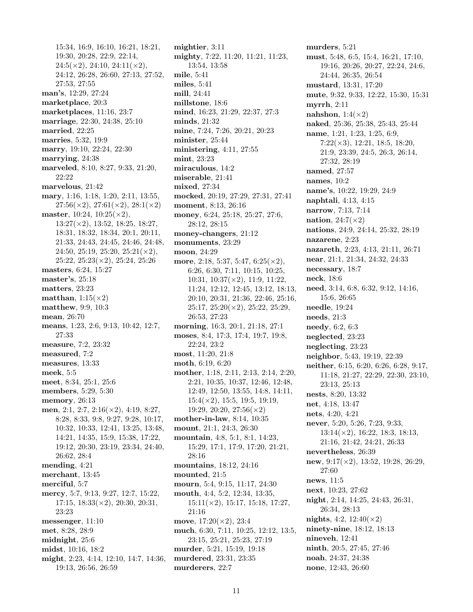15:34, 16:9, 16:10, 16:21, 18:21, 19:30, 20:28, 22:9, 22:14,  $24:5(\times2), 24:10, 24:11(\times2),$ 24:12, 26:28, 26:60, 27:13, 27:52, 27:53, 27:55 man's, 12:29, 27:24 marketplace, 20:3 marketplaces, 11:16, 23:7 marriage, 22:30, 24:38, 25:10 married, 22:25 marries, 5:32, 19:9 marry, 19:10, 22:24, 22:30 marrying, 24:38 marveled, 8:10, 8:27, 9:33, 21:20, 22:22 marvelous, 21:42 mary, 1:16, 1:18, 1:20, 2:11, 13:55,  $27:56(\times2), 27:61(\times2), 28:1(\times2)$ master, 10:24,  $10:25(\times 2)$ , 13:27(×2), 13:52, 18:25, 18:27, 18:31, 18:32, 18:34, 20:1, 20:11, 21:33, 24:43, 24:45, 24:46, 24:48, 24:50, 25:19, 25:20,  $25:21(\times2)$ ,  $25:22, 25:23(\times2), 25:24, 25:26$ masters, 6:24, 15:27 master's, 25:18 matters, 23:23 matthan,  $1:15(\times2)$ matthew, 9:9, 10:3 mean, 26:70 means, 1:23, 2:6, 9:13, 10:42, 12:7, 27:33 measure, 7:2, 23:32 measured, 7:2 measures, 13:33 meek, 5:5 meet, 8:34, 25:1, 25:6 members, 5:29, 5:30 memory, 26:13 men, 2:1, 2:7,  $2:16(\times 2)$ ,  $4:19$ , 8:27, 8:28, 8:33, 9:8, 9:27, 9:28, 10:17, 10:32, 10:33, 12:41, 13:25, 13:48, 14:21, 14:35, 15:9, 15:38, 17:22, 19:12, 20:30, 23:19, 23:34, 24:40, 26:62, 28:4 mending, 4:21 merchant, 13:45 merciful, 5:7 mercy, 5:7, 9:13, 9:27, 12:7, 15:22, 17:15, 18:33(×2), 20:30, 20:31, 23:23 messenger, 11:10 met, 8:28, 28:9 midnight, 25:6 midst, 10:16, 18:2 might, 2:23, 4:14, 12:10, 14:7, 14:36, 19:13, 26:56, 26:59

mightier, 3:11 mighty, 7:22, 11:20, 11:21, 11:23, 13:54, 13:58 mile, 5:41 miles, 5:41 mill, 24:41 millstone, 18:6 mind, 16:23, 21:29, 22:37, 27:3 minds, 21:32 mine, 7:24, 7:26, 20:21, 20:23 minister, 25:44 ministering, 4:11, 27:55 mint, 23:23 miraculous, 14:2 miserable, 21:41 mixed, 27:34 mocked, 20:19, 27:29, 27:31, 27:41 moment, 8:13, 26:16 money, 6:24, 25:18, 25:27, 27:6, 28:12, 28:15 money-changers, 21:12 monuments, 23:29 moon, 24:29 more, 2:18, 5:37, 5:47, 6:25 $(\times 2)$ , 6:26, 6:30, 7:11, 10:15, 10:25, 10:31, 10:37(×2), 11:9, 11:22, 11:24, 12:12, 12:45, 13:12, 18:13, 20:10, 20:31, 21:36, 22:46, 25:16,  $25:17, 25:20(\times 2), 25:22, 25:29,$ 26:53, 27:23 morning, 16:3, 20:1, 21:18, 27:1 moses, 8:4, 17:3, 17:4, 19:7, 19:8, 22:24, 23:2 most, 11:20, 21:8 moth, 6:19, 6:20 mother, 1:18, 2:11, 2:13, 2:14, 2:20, 2:21, 10:35, 10:37, 12:46, 12:48, 12:49, 12:50, 13:55, 14:8, 14:11,  $15:4(\times2)$ , 15:5, 19:5, 19:19, 19:29, 20:20, 27:56 $(\times 2)$ mother-in-law, 8:14, 10:35 mount, 21:1, 24:3, 26:30 mountain, 4:8, 5:1, 8:1, 14:23, 15:29, 17:1, 17:9, 17:20, 21:21, 28:16 mountains, 18:12, 24:16 mounted, 21:5 mourn, 5:4, 9:15, 11:17, 24:30 mouth, 4:4, 5:2, 12:34, 13:35,  $15:11(\times2)$ , 15:17, 15:18, 17:27, 21:16 move,  $17:20(\times 2)$ ,  $23:4$ much, 6:30, 7:11, 10:25, 12:12, 13:5, 23:15, 25:21, 25:23, 27:19 murder, 5:21, 15:19, 19:18 murdered, 23:31, 23:35 murderers, 22:7

murders, 5:21 must, 5:48, 6:5, 15:4, 16:21, 17:10, 19:16, 20:26, 20:27, 22:24, 24:6, 24:44, 26:35, 26:54 mustard, 13:31, 17:20 mute, 9:32, 9:33, 12:22, 15:30, 15:31 myrrh, 2:11 nahshon,  $1:4(\times2)$ naked, 25:36, 25:38, 25:43, 25:44 name, 1:21, 1:23, 1:25, 6:9, 7:22(×3), 12:21, 18:5, 18:20, 21:9, 23:39, 24:5, 26:3, 26:14, 27:32, 28:19 named, 27:57 names, 10:2 name's, 10:22, 19:29, 24:9 naphtali, 4:13, 4:15 narrow, 7:13, 7:14 nation,  $24:7(\times2)$ nations, 24:9, 24:14, 25:32, 28:19 nazarene, 2:23 nazareth, 2:23, 4:13, 21:11, 26:71 near, 21:1, 21:34, 24:32, 24:33 necessary, 18:7 neck, 18:6 need, 3:14, 6:8, 6:32, 9:12, 14:16, 15:6, 26:65 needle, 19:24 needs, 21:3 needy, 6:2, 6:3 neglected, 23:23 neglecting, 23:23 neighbor, 5:43, 19:19, 22:39 neither, 6:15, 6:20, 6:26, 6:28, 9:17, 11:18, 21:27, 22:29, 22:30, 23:10, 23:13, 25:13 nests, 8:20, 13:32 net, 4:18, 13:47 nets, 4:20, 4:21 never, 5:20, 5:26, 7:23, 9:33, 13:14(×2), 16:22, 18:3, 18:13, 21:16, 21:42, 24:21, 26:33 nevertheless, 26:39 new,  $9:17(\times2)$ ,  $13:52$ ,  $19:28$ ,  $26:29$ , 27:60 news, 11:5 next, 10:23, 27:62 night, 2:14, 14:25, 24:43, 26:31, 26:34, 28:13 nights, 4:2,  $12:40(\times2)$ ninety-nine, 18:12, 18:13 nineveh, 12:41 ninth, 20:5, 27:45, 27:46 noah, 24:37, 24:38 none, 12:43, 26:60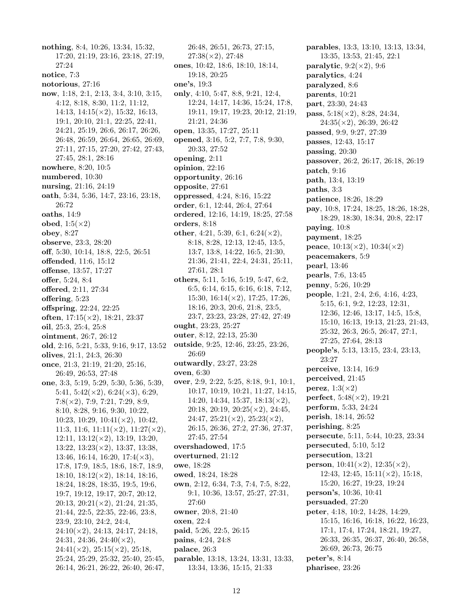nothing, 8:4, 10:26, 13:34, 15:32, 17:20, 21:19, 23:16, 23:18, 27:19, 27:24 notice, 7:3 notorious, 27:16 now, 1:18, 2:1, 2:13, 3:4, 3:10, 3:15, 4:12, 8:18, 8:30, 11:2, 11:12, 14:13, 14:15(×2), 15:32, 16:13, 19:1, 20:10, 21:1, 22:25, 22:41, 24:21, 25:19, 26:6, 26:17, 26:26, 26:48, 26:59, 26:64, 26:65, 26:69, 27:11, 27:15, 27:20, 27:42, 27:43, 27:45, 28:1, 28:16 nowhere, 8:20, 10:5 numbered, 10:30 nursing, 21:16, 24:19 oath, 5:34, 5:36, 14:7, 23:16, 23:18, 26:72 oaths, 14:9 obed,  $1:5(\times2)$ obey, 8:27 observe, 23:3, 28:20 off, 5:30, 10:14, 18:8, 22:5, 26:51 offended, 11:6, 15:12 offense, 13:57, 17:27 offer, 5:24, 8:4 offered, 2:11, 27:34 offering, 5:23 offspring, 22:24, 22:25 often,  $17:15(\times2)$ ,  $18:21$ ,  $23:37$ oil, 25:3, 25:4, 25:8 ointment, 26:7, 26:12 old, 2:16, 5:21, 5:33, 9:16, 9:17, 13:52 olives, 21:1, 24:3, 26:30 once, 21:3, 21:19, 21:20, 25:16, 26:49, 26:53, 27:48 one, 3:3, 5:19, 5:29, 5:30, 5:36, 5:39, 5:41, 5:42( $\times$ 2), 6:24( $\times$ 3), 6:29,  $7:8(\times2)$ ,  $7:9$ ,  $7:21$ ,  $7:29$ ,  $8:9$ , 8:10, 8:28, 9:16, 9:30, 10:22, 10:23, 10:29,  $10:41 \times 2$ , 10:42, 11:3, 11:6,  $11:11(\times 2)$ ,  $11:27(\times 2)$ ,  $12:11, 13:12(\times 2), 13:19, 13:20,$ 13:22, 13:23(×2), 13:37, 13:38, 13:46, 16:14, 16:20, 17:4 $(\times 3)$ , 17:8, 17:9, 18:5, 18:6, 18:7, 18:9, 18:10,  $18:12(\times2)$ ,  $18:14$ ,  $18:16$ , 18:24, 18:28, 18:35, 19:5, 19:6, 19:7, 19:12, 19:17, 20:7, 20:12, 20:13, 20:21(×2), 21:24, 21:35, 21:44, 22:5, 22:35, 22:46, 23:8, 23:9, 23:10, 24:2, 24:4,  $24:10(\times 2), 24:13, 24:17, 24:18,$ 24:31, 24:36, 24:40 $(\times 2)$ ,  $24:41(\times2), 25:15(\times2), 25:18,$ 25:24, 25:29, 25:32, 25:40, 25:45, 26:14, 26:21, 26:22, 26:40, 26:47,

26:48, 26:51, 26:73, 27:15,  $27:38(\times2), 27:48$ ones, 10:42, 18:6, 18:10, 18:14, 19:18, 20:25 one's, 19:3 only, 4:10, 5:47, 8:8, 9:21, 12:4, 12:24, 14:17, 14:36, 15:24, 17:8, 19:11, 19:17, 19:23, 20:12, 21:19, 21:21, 24:36 open, 13:35, 17:27, 25:11 opened, 3:16, 5:2, 7:7, 7:8, 9:30, 20:33, 27:52 opening, 2:11 opinion, 22:16 opportunity, 26:16 opposite, 27:61 oppressed, 4:24, 8:16, 15:22 order, 6:1, 12:44, 26:4, 27:64 ordered, 12:16, 14:19, 18:25, 27:58 orders, 8:18 other, 4:21, 5:39, 6:1, 6:24( $\times$ 2), 8:18, 8:28, 12:13, 12:45, 13:5, 13:7, 13:8, 14:22, 16:5, 21:30, 21:36, 21:41, 22:4, 24:31, 25:11, 27:61, 28:1 others, 5:11, 5:16, 5:19, 5:47, 6:2, 6:5, 6:14, 6:15, 6:16, 6:18, 7:12, 15:30, 16:14(×2), 17:25, 17:26, 18:16, 20:3, 20:6, 21:8, 23:5, 23:7, 23:23, 23:28, 27:42, 27:49 ought, 23:23, 25:27 outer, 8:12, 22:13, 25:30 outside, 9:25, 12:46, 23:25, 23:26, 26:69 outwardly, 23:27, 23:28 oven, 6:30 over, 2:9, 2:22, 5:25, 8:18, 9:1, 10:1, 10:17, 10:19, 10:21, 11:27, 14:15, 14:20, 14:34, 15:37,  $18:13(\times2)$ ,  $20:18$ ,  $20:19$ ,  $20:25 \times 2$ ,  $24:45$ ,  $24:47, 25:21(\times2), 25:23(\times2),$ 26:15, 26:36, 27:2, 27:36, 27:37, 27:45, 27:54 overshadowed, 17:5 overturned, 21:12 owe, 18:28 owed, 18:24, 18:28 own, 2:12, 6:34, 7:3, 7:4, 7:5, 8:22, 9:1, 10:36, 13:57, 25:27, 27:31, 27:60 owner, 20:8, 21:40 oxen, 22:4 paid, 5:26, 22:5, 26:15 pains, 4:24, 24:8 palace, 26:3 parable, 13:18, 13:24, 13:31, 13:33, 13:34, 13:36, 15:15, 21:33

parables, 13:3, 13:10, 13:13, 13:34, 13:35, 13:53, 21:45, 22:1 paralytic,  $9:2(\times2)$ ,  $9:6$ paralytics, 4:24 paralyzed, 8:6 parents, 10:21 part, 23:30, 24:43 pass,  $5:18(\times2)$ ,  $8:28$ ,  $24:34$ ,  $24:35(\times2), 26:39, 26:42$ passed, 9:9, 9:27, 27:39 passes, 12:43, 15:17 passing, 20:30 passover, 26:2, 26:17, 26:18, 26:19 patch, 9:16 path, 13:4, 13:19 paths, 3:3 patience, 18:26, 18:29 pay, 10:8, 17:24, 18:25, 18:26, 18:28, 18:29, 18:30, 18:34, 20:8, 22:17 paying, 10:8 payment, 18:25 peace,  $10:13(\times2)$ ,  $10:34(\times2)$ peacemakers, 5:9 pearl, 13:46 pearls, 7:6, 13:45 penny, 5:26, 10:29 people, 1:21, 2:4, 2:6, 4:16, 4:23, 5:15, 6:1, 9:2, 12:23, 12:31, 12:36, 12:46, 13:17, 14:5, 15:8, 15:10, 16:13, 19:13, 21:23, 21:43, 25:32, 26:3, 26:5, 26:47, 27:1, 27:25, 27:64, 28:13 people's, 5:13, 13:15, 23:4, 23:13, 23:27 perceive, 13:14, 16:9 perceived, 21:45 perez,  $1:3(\times 2)$ perfect,  $5:48(x2)$ ,  $19:21$ perform, 5:33, 24:24 perish, 18:14, 26:52 perishing, 8:25 persecute, 5:11, 5:44, 10:23, 23:34 persecuted, 5:10, 5:12 persecution, 13:21 **person**,  $10:41(\times 2)$ ,  $12:35(\times 2)$ , 12:43, 12:45, 15:11(×2), 15:18, 15:20, 16:27, 19:23, 19:24 person's, 10:36, 10:41 persuaded, 27:20 peter, 4:18, 10:2, 14:28, 14:29, 15:15, 16:16, 16:18, 16:22, 16:23, 17:1, 17:4, 17:24, 18:21, 19:27, 26:33, 26:35, 26:37, 26:40, 26:58, 26:69, 26:73, 26:75 peter's, 8:14 pharisee, 23:26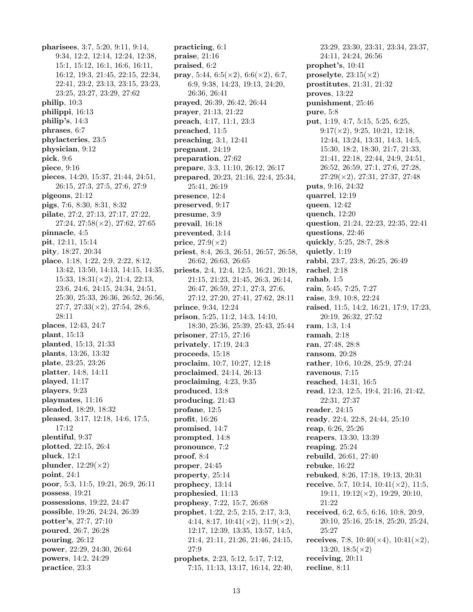pharisees, 3:7, 5:20, 9:11, 9:14, 9:34, 12:2, 12:14, 12:24, 12:38, 15:1, 15:12, 16:1, 16:6, 16:11, 16:12, 19:3, 21:45, 22:15, 22:34, 22:41, 23:2, 23:13, 23:15, 23:23, 23:25, 23:27, 23:29, 27:62 philip, 10:3 philippi, 16:13 philip's, 14:3 phrases, 6:7 phylacteries, 23:5 physician, 9:12 pick, 9:6 piece, 9:16 pieces, 14:20, 15:37, 21:44, 24:51, 26:15, 27:3, 27:5, 27:6, 27:9 pigeons, 21:12 pigs, 7:6, 8:30, 8:31, 8:32 pilate, 27:2, 27:13, 27:17, 27:22, 27:24, 27:58(×2), 27:62, 27:65 pinnacle, 4:5 pit, 12:11, 15:14 pity, 18:27, 20:34 place, 1:18, 1:22, 2:9, 2:22, 8:12, 13:42, 13:50, 14:13, 14:15, 14:35, 15:33, 18:31(×2), 21:4, 22:13, 23:6, 24:6, 24:15, 24:34, 24:51, 25:30, 25:33, 26:36, 26:52, 26:56,  $27:7, 27:33 \times 2$ ,  $27:54, 28:6$ , 28:11 places, 12:43, 24:7 plant, 15:13 planted, 15:13, 21:33 plants, 13:26, 13:32 plate, 23:25, 23:26 platter, 14:8, 14:11 played, 11:17 players, 9:23 playmates, 11:16 pleaded, 18:29, 18:32 pleased, 3:17, 12:18, 14:6, 17:5, 17:12 plentiful, 9:37 plotted, 22:15, 26:4 pluck, 12:1 plunder,  $12:29 \times 2$ point, 24:1 poor, 5:3, 11:5, 19:21, 26:9, 26:11 possess, 19:21 possessions, 19:22, 24:47 possible, 19:26, 24:24, 26:39 potter's, 27:7, 27:10 poured, 26:7, 26:28 pouring, 26:12 power, 22:29, 24:30, 26:64 powers, 14:2, 24:29 practice, 23:3

practicing, 6:1 praise, 21:16 praised, 6:2 **pray**, 5:44,  $6:5(\times2)$ ,  $6:6(\times2)$ , 6:7, 6:9, 9:38, 14:23, 19:13, 24:20, 26:36, 26:41 prayed, 26:39, 26:42, 26:44 prayer, 21:13, 21:22 preach, 4:17, 11:1, 23:3 preached, 11:5 preaching, 3:1, 12:41 pregnant, 24:19 preparation, 27:62 prepare, 3:3, 11:10, 26:12, 26:17 prepared, 20:23, 21:16, 22:4, 25:34, 25:41, 26:19 presence, 12:4 preserved, 9:17 presume, 3:9 prevail, 16:18 prevented, 3:14 price,  $27:9(\times2)$ priest, 8:4, 26:3, 26:51, 26:57, 26:58, 26:62, 26:63, 26:65 priests, 2:4, 12:4, 12:5, 16:21, 20:18, 21:15, 21:23, 21:45, 26:3, 26:14, 26:47, 26:59, 27:1, 27:3, 27:6, 27:12, 27:20, 27:41, 27:62, 28:11 prince, 9:34, 12:24 prison, 5:25, 11:2, 14:3, 14:10, 18:30, 25:36, 25:39, 25:43, 25:44 prisoner, 27:15, 27:16 privately, 17:19, 24:3 proceeds, 15:18 proclaim, 10:7, 10:27, 12:18 proclaimed, 24:14, 26:13 proclaiming, 4:23, 9:35 produced, 13:8 producing, 21:43 profane, 12:5 profit, 16:26 promised, 14:7 prompted, 14:8 pronounce, 7:2 proof, 8:4 proper, 24:45 property, 25:14 prophecy, 13:14 prophesied, 11:13 prophesy, 7:22, 15:7, 26:68 prophet, 1:22, 2:5, 2:15, 2:17, 3:3, 4:14, 8:17, 10:41( $\times$ 2), 11:9( $\times$ 2), 12:17, 12:39, 13:35, 13:57, 14:5, 21:4, 21:11, 21:26, 21:46, 24:15, 27:9 prophets, 2:23, 5:12, 5:17, 7:12, 7:15, 11:13, 13:17, 16:14, 22:40,

23:29, 23:30, 23:31, 23:34, 23:37, 24:11, 24:24, 26:56 prophet's, 10:41 proselyte,  $23:15(\times2)$ prostitutes, 21:31, 21:32 proves, 13:22 punishment, 25:46 pure, 5:8 put, 1:19, 4:7, 5:15, 5:25, 6:25,  $9:17(\times2)$ ,  $9:25$ ,  $10:21$ ,  $12:18$ , 12:44, 13:24, 13:31, 14:3, 14:5, 15:30, 18:2, 18:30, 21:7, 21:33, 21:41, 22:18, 22:44, 24:9, 24:51, 26:52, 26:59, 27:1, 27:6, 27:28, 27:29(×2), 27:31, 27:37, 27:48 puts, 9:16, 24:32 quarrel, 12:19 queen, 12:42 quench, 12:20 question, 21:24, 22:23, 22:35, 22:41 questions, 22:46 quickly, 5:25, 28:7, 28:8 quietly, 1:19 rabbi, 23:7, 23:8, 26:25, 26:49 rachel, 2:18 rahab, 1:5 rain, 5:45, 7:25, 7:27 raise, 3:9, 10:8, 22:24 raised, 11:5, 14:2, 16:21, 17:9, 17:23, 20:19, 26:32, 27:52 ram, 1:3, 1:4 ramah, 2:18 ran, 27:48, 28:8 ransom, 20:28 rather, 10:6, 10:28, 25:9, 27:24 ravenous, 7:15 reached, 14:31, 16:5 read, 12:3, 12:5, 19:4, 21:16, 21:42, 22:31, 27:37 reader, 24:15 ready, 22:4, 22:8, 24:44, 25:10 reap, 6:26, 25:26 reapers, 13:30, 13:39 reaping, 25:24 rebuild, 26:61, 27:40 rebuke, 16:22 rebuked, 8:26, 17:18, 19:13, 20:31 receive, 5:7, 10:14,  $10:41(\times2)$ , 11:5, 19:11, 19:12(×2), 19:29, 20:10, 21:22 received, 6:2, 6:5, 6:16, 10:8, 20:9, 20:10, 25:16, 25:18, 25:20, 25:24, 25:27 receives, 7:8,  $10:40(\times4)$ ,  $10:41(\times2)$ , 13:20,  $18:5(\times2)$ receiving, 20:11 recline, 8:11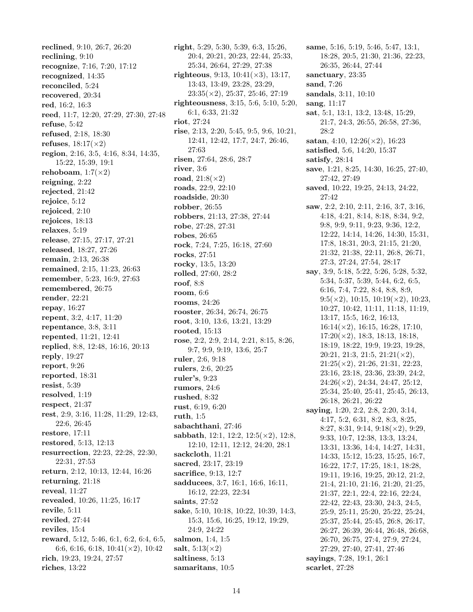reclined, 9:10, 26:7, 26:20 reclining, 9:10 recognize, 7:16, 7:20, 17:12 recognized, 14:35 reconciled, 5:24 recovered, 20:34 red, 16:2, 16:3 reed, 11:7, 12:20, 27:29, 27:30, 27:48 refuse, 5:42 refused, 2:18, 18:30 refuses,  $18:17(\times2)$ region, 2:16, 3:5, 4:16, 8:34, 14:35, 15:22, 15:39, 19:1 rehoboam,  $1:7(\times 2)$ reigning, 2:22 rejected, 21:42 rejoice, 5:12 rejoiced, 2:10 rejoices, 18:13 relaxes, 5:19 release, 27:15, 27:17, 27:21 released, 18:27, 27:26 remain, 2:13, 26:38 remained, 2:15, 11:23, 26:63 remember, 5:23, 16:9, 27:63 remembered, 26:75 render, 22:21 repay, 16:27 repent, 3:2, 4:17, 11:20 repentance, 3:8, 3:11 repented, 11:21, 12:41 replied, 8:8, 12:48, 16:16, 20:13 reply, 19:27 report, 9:26 reported, 18:31 resist, 5:39 resolved, 1:19 respect, 21:37 rest, 2:9, 3:16, 11:28, 11:29, 12:43, 22:6, 26:45 restore, 17:11 restored, 5:13, 12:13 resurrection, 22:23, 22:28, 22:30, 22:31, 27:53 return, 2:12, 10:13, 12:44, 16:26 returning, 21:18 reveal, 11:27 revealed, 10:26, 11:25, 16:17 revile, 5:11 reviled, 27:44 reviles, 15:4 reward, 5:12, 5:46, 6:1, 6:2, 6:4, 6:5, 6:6, 6:16, 6:18, 10:41( $\times$ 2), 10:42 rich, 19:23, 19:24, 27:57 riches, 13:22

right, 5:29, 5:30, 5:39, 6:3, 15:26, 20:4, 20:21, 20:23, 22:44, 25:33, 25:34, 26:64, 27:29, 27:38 righteous, 9:13,  $10:41(\times3)$ , 13:17, 13:43, 13:49, 23:28, 23:29,  $23:35(\times2), 25:37, 25:46, 27:19$ righteousness, 3:15, 5:6, 5:10, 5:20, 6:1, 6:33, 21:32 riot, 27:24 rise, 2:13, 2:20, 5:45, 9:5, 9:6, 10:21, 12:41, 12:42, 17:7, 24:7, 26:46, 27:63 risen, 27:64, 28:6, 28:7 river, 3:6 road,  $21:8(\times2)$ roads, 22:9, 22:10 roadside, 20:30 robber, 26:55 robbers, 21:13, 27:38, 27:44 robe, 27:28, 27:31 robes, 26:65 rock, 7:24, 7:25, 16:18, 27:60 rocks, 27:51 rocky, 13:5, 13:20 rolled, 27:60, 28:2 roof, 8:8 room, 6:6 rooms, 24:26 rooster, 26:34, 26:74, 26:75 root, 3:10, 13:6, 13:21, 13:29 rooted, 15:13 rose, 2:2, 2:9, 2:14, 2:21, 8:15, 8:26, 9:7, 9:9, 9:19, 13:6, 25:7 ruler, 2:6, 9:18 rulers, 2:6, 20:25 ruler's, 9:23 rumors, 24:6 rushed, 8:32 rust, 6:19, 6:20 ruth, 1:5 sabachthani, 27:46 sabbath, 12:1, 12:2, 12:5( $\times$ 2), 12:8, 12:10, 12:11, 12:12, 24:20, 28:1 sackcloth, 11:21 sacred, 23:17, 23:19 sacrifice, 9:13, 12:7 sadducees, 3:7, 16:1, 16:6, 16:11, 16:12, 22:23, 22:34 saints, 27:52 sake, 5:10, 10:18, 10:22, 10:39, 14:3, 15:3, 15:6, 16:25, 19:12, 19:29, 24:9, 24:22 salmon, 1:4, 1:5 salt,  $5:13(\times2)$ saltiness, 5:13 samaritans, 10:5

same, 5:16, 5:19, 5:46, 5:47, 13:1, 18:28, 20:5, 21:30, 21:36, 22:23, 26:35, 26:44, 27:44 sanctuary, 23:35 sand, 7:26 sandals, 3:11, 10:10 sang, 11:17 sat, 5:1, 13:1, 13:2, 13:48, 15:29, 21:7, 24:3, 26:55, 26:58, 27:36, 28:2 satan, 4:10,  $12:26(\times2)$ , 16:23 satisfied, 5:6, 14:20, 15:37 satisfy, 28:14 save, 1:21, 8:25, 14:30, 16:25, 27:40, 27:42, 27:49 saved, 10:22, 19:25, 24:13, 24:22, 27:42 saw, 2:2, 2:10, 2:11, 2:16, 3:7, 3:16, 4:18, 4:21, 8:14, 8:18, 8:34, 9:2, 9:8, 9:9, 9:11, 9:23, 9:36, 12:2, 12:22, 14:14, 14:26, 14:30, 15:31, 17:8, 18:31, 20:3, 21:15, 21:20, 21:32, 21:38, 22:11, 26:8, 26:71, 27:3, 27:24, 27:54, 28:17 say, 3:9, 5:18, 5:22, 5:26, 5:28, 5:32, 5:34, 5:37, 5:39, 5:44, 6:2, 6:5, 6:16, 7:4, 7:22, 8:4, 8:8, 8:9,  $9:5(\times2)$ , 10:15, 10:19( $\times2$ ), 10:23, 10:27, 10:42, 11:11, 11:18, 11:19, 13:17, 15:5, 16:2, 16:13,  $16:14(\times2)$ , 16:15, 16:28, 17:10,  $17:20(\times2)$ , 18:3, 18:13, 18:18, 18:19, 18:22, 19:9, 19:23, 19:28,  $20:21, 21:3, 21:5, 21:21(\times 2),$  $21:25(\times2)$ ,  $21:26$ ,  $21:31$ ,  $22:23$ , 23:16, 23:18, 23:36, 23:39, 24:2,  $24:26(\times2)$ , 24:34, 24:47, 25:12, 25:34, 25:40, 25:41, 25:45, 26:13, 26:18, 26:21, 26:22 saying, 1:20, 2:2, 2:8, 2:20, 3:14, 4:17, 5:2, 6:31, 8:2, 8:3, 8:25, 8:27, 8:31, 9:14, 9:18(×2), 9:29, 9:33, 10:7, 12:38, 13:3, 13:24, 13:31, 13:36, 14:4, 14:27, 14:31, 14:33, 15:12, 15:23, 15:25, 16:7, 16:22, 17:7, 17:25, 18:1, 18:28, 19:11, 19:16, 19:25, 20:12, 21:2, 21:4, 21:10, 21:16, 21:20, 21:25, 21:37, 22:1, 22:4, 22:16, 22:24, 22:42, 22:43, 23:30, 24:3, 24:5, 25:9, 25:11, 25:20, 25:22, 25:24, 25:37, 25:44, 25:45, 26:8, 26:17, 26:27, 26:39, 26:44, 26:48, 26:68, 26:70, 26:75, 27:4, 27:9, 27:24, 27:29, 27:40, 27:41, 27:46 sayings, 7:28, 19:1, 26:1 scarlet, 27:28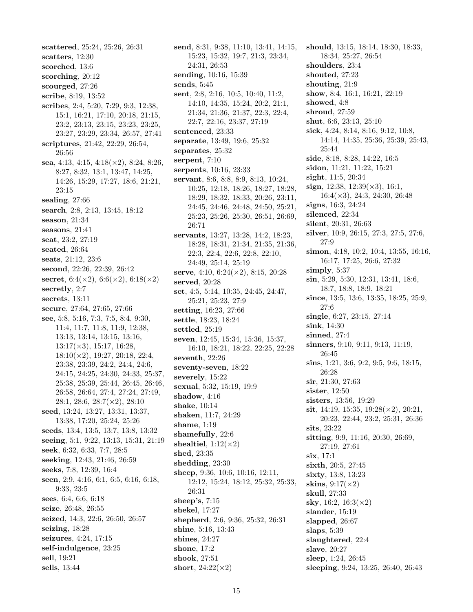scattered, 25:24, 25:26, 26:31 scatters, 12:30 scorched, 13:6 scorching, 20:12 scourged, 27:26 scribe, 8:19, 13:52 scribes, 2:4, 5:20, 7:29, 9:3, 12:38, 15:1, 16:21, 17:10, 20:18, 21:15, 23:2, 23:13, 23:15, 23:23, 23:25, 23:27, 23:29, 23:34, 26:57, 27:41 scriptures, 21:42, 22:29, 26:54, 26:56 sea, 4:13, 4:15, 4:18 $(\times 2)$ , 8:24, 8:26, 8:27, 8:32, 13:1, 13:47, 14:25, 14:26, 15:29, 17:27, 18:6, 21:21, 23:15 sealing, 27:66 search, 2:8, 2:13, 13:45, 18:12 season, 21:34 seasons, 21:41 seat, 23:2, 27:19 seated, 26:64 seats, 21:12, 23:6 second, 22:26, 22:39, 26:42 secret,  $6:4(\times2)$ ,  $6:6(\times2)$ ,  $6:18(\times2)$ secretly, 2:7 secrets, 13:11 secure, 27:64, 27:65, 27:66 see, 5:8, 5:16, 7:3, 7:5, 8:4, 9:30, 11:4, 11:7, 11:8, 11:9, 12:38, 13:13, 13:14, 13:15, 13:16,  $13:17(\times3)$ , 15:17, 16:28,  $18:10(\times2)$ , 19:27, 20:18, 22:4, 23:38, 23:39, 24:2, 24:4, 24:6, 24:15, 24:25, 24:30, 24:33, 25:37, 25:38, 25:39, 25:44, 26:45, 26:46, 26:58, 26:64, 27:4, 27:24, 27:49,  $28:1, 28:6, 28:7(\times2), 28:10$ seed, 13:24, 13:27, 13:31, 13:37, 13:38, 17:20, 25:24, 25:26 seeds, 13:4, 13:5, 13:7, 13:8, 13:32 seeing, 5:1, 9:22, 13:13, 15:31, 21:19 seek, 6:32, 6:33, 7:7, 28:5 seeking, 12:43, 21:46, 26:59 seeks, 7:8, 12:39, 16:4 seen, 2:9, 4:16, 6:1, 6:5, 6:16, 6:18, 9:33, 23:5 sees, 6:4, 6:6, 6:18 seize, 26:48, 26:55 seized, 14:3, 22:6, 26:50, 26:57 seizing, 18:28 seizures, 4:24, 17:15 self-indulgence, 23:25 sell, 19:21 sells, 13:44

send, 8:31, 9:38, 11:10, 13:41, 14:15, 15:23, 15:32, 19:7, 21:3, 23:34, 24:31, 26:53 sending, 10:16, 15:39 sends, 5:45 sent, 2:8, 2:16, 10:5, 10:40, 11:2, 14:10, 14:35, 15:24, 20:2, 21:1, 21:34, 21:36, 21:37, 22:3, 22:4, 22:7, 22:16, 23:37, 27:19 sentenced, 23:33 separate, 13:49, 19:6, 25:32 separates, 25:32 serpent, 7:10 serpents, 10:16, 23:33 servant, 8:6, 8:8, 8:9, 8:13, 10:24, 10:25, 12:18, 18:26, 18:27, 18:28, 18:29, 18:32, 18:33, 20:26, 23:11, 24:45, 24:46, 24:48, 24:50, 25:21, 25:23, 25:26, 25:30, 26:51, 26:69, 26:71 servants, 13:27, 13:28, 14:2, 18:23, 18:28, 18:31, 21:34, 21:35, 21:36, 22:3, 22:4, 22:6, 22:8, 22:10, 24:49, 25:14, 25:19 serve, 4:10, 6:24( $\times$ 2), 8:15, 20:28 served, 20:28 set, 4:5, 5:14, 10:35, 24:45, 24:47, 25:21, 25:23, 27:9 setting, 16:23, 27:66 settle, 18:23, 18:24 settled, 25:19 seven, 12:45, 15:34, 15:36, 15:37, 16:10, 18:21, 18:22, 22:25, 22:28 seventh, 22:26 seventy-seven, 18:22 severely, 15:22 sexual, 5:32, 15:19, 19:9 shadow, 4:16 shake, 10:14 shaken, 11:7, 24:29 shame, 1:19 shamefully, 22:6 shealtiel,  $1:12(\times2)$ shed, 23:35 shedding, 23:30 sheep, 9:36, 10:6, 10:16, 12:11, 12:12, 15:24, 18:12, 25:32, 25:33, 26:31 sheep's, 7:15 shekel, 17:27 shepherd, 2:6, 9:36, 25:32, 26:31 shine, 5:16, 13:43 shines, 24:27 shone, 17:2 shook, 27:51 short,  $24:22(\times2)$ 

should, 13:15, 18:14, 18:30, 18:33, 18:34, 25:27, 26:54 shoulders, 23:4 shouted, 27:23 shouting, 21:9 show, 8:4, 16:1, 16:21, 22:19 showed, 4:8 shroud, 27:59 shut, 6:6, 23:13, 25:10 sick, 4:24, 8:14, 8:16, 9:12, 10:8, 14:14, 14:35, 25:36, 25:39, 25:43, 25:44 side, 8:18, 8:28, 14:22, 16:5 sidon, 11:21, 11:22, 15:21 sight, 11:5, 20:34 sign, 12:38, 12:39 $(\times 3)$ , 16:1, 16:4(×3), 24:3, 24:30, 26:48 signs, 16:3, 24:24 silenced, 22:34 silent, 20:31, 26:63 silver, 10:9, 26:15, 27:3, 27:5, 27:6, 27:9 simon, 4:18, 10:2, 10:4, 13:55, 16:16, 16:17, 17:25, 26:6, 27:32 simply, 5:37 sin, 5:29, 5:30, 12:31, 13:41, 18:6, 18:7, 18:8, 18:9, 18:21 since, 13:5, 13:6, 13:35, 18:25, 25:9, 27:6 single, 6:27, 23:15, 27:14 sink, 14:30 sinned, 27:4 sinners, 9:10, 9:11, 9:13, 11:19, 26:45 sins, 1:21, 3:6, 9:2, 9:5, 9:6, 18:15, 26:28 sir, 21:30, 27:63 sister, 12:50 sisters, 13:56, 19:29 sit, 14:19, 15:35,  $19:28 \times 2$ ,  $20:21$ , 20:23, 22:44, 23:2, 25:31, 26:36 sits, 23:22 sitting, 9:9, 11:16, 20:30, 26:69, 27:19, 27:61 six, 17:1 sixth, 20:5, 27:45 sixty, 13:8, 13:23 skins,  $9:17(\times2)$ skull, 27:33 sky, 16:2,  $16:3(\times2)$ slander, 15:19 slapped, 26:67 slaps, 5:39 slaughtered, 22:4 slave, 20:27 sleep, 1:24, 26:45 sleeping, 9:24, 13:25, 26:40, 26:43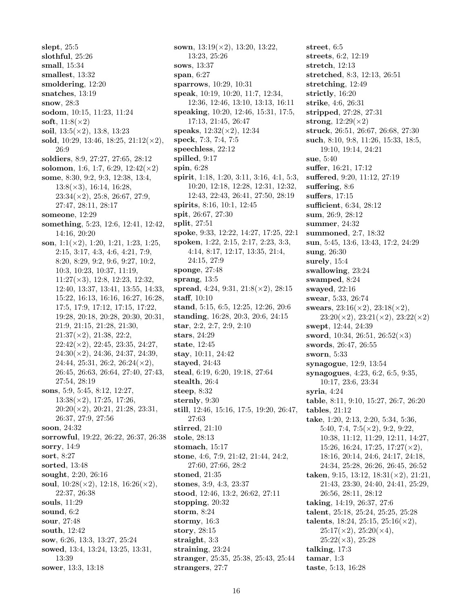slept, 25:5 slothful, 25:26 small, 15:34 smallest, 13:32 smoldering,  $12:20$ snatches, 13:19 snow, 28:3 sodom, 10:15, 11:23, 11:24 soft,  $11:8(\times2)$ soil,  $13:5(\times2)$ ,  $13:8$ ,  $13:23$ sold, 10:29, 13:46, 18:25,  $21:12(\times2)$ , 26:9 soldiers, 8:9, 27:27, 27:65, 28:12 solomon, 1:6, 1:7, 6:29,  $12:42(\times2)$ some, 8:30, 9:2, 9:3, 12:38, 13:4,  $13:8(\times3)$ , 16:14, 16:28,  $23:34(\times2)$ ,  $25:8$ ,  $26:67$ ,  $27:9$ , 27:47, 28:11, 28:17 someone, 12:29 something, 5:23, 12:6, 12:41, 12:42, 14:16, 20:20 son,  $1:1(\times 2)$ ,  $1:20$ ,  $1:21$ ,  $1:23$ ,  $1:25$ , 2:15, 3:17, 4:3, 4:6, 4:21, 7:9, 8:20, 8:29, 9:2, 9:6, 9:27, 10:2, 10:3, 10:23, 10:37, 11:19, 11:27(×3), 12:8, 12:23, 12:32, 12:40, 13:37, 13:41, 13:55, 14:33, 15:22, 16:13, 16:16, 16:27, 16:28, 17:5, 17:9, 17:12, 17:15, 17:22, 19:28, 20:18, 20:28, 20:30, 20:31, 21:9, 21:15, 21:28, 21:30,  $21:37(\times2), 21:38, 22:2,$  $22:42(\times2), 22:45, 23:35, 24:27,$  $24:30(\times2)$ ,  $24:36$ ,  $24:37$ ,  $24:39$ , 24:44, 25:31, 26:2,  $26:24(\times2)$ , 26:45, 26:63, 26:64, 27:40, 27:43, 27:54, 28:19 sons, 5:9, 5:45, 8:12, 12:27,  $13:38(\times2), 17:25, 17:26,$  $20:20(\times2)$ ,  $20:21$ ,  $21:28$ ,  $23:31$ , 26:37, 27:9, 27:56 soon, 24:32 sorrowful, 19:22, 26:22, 26:37, 26:38 sorry, 14:9 sort, 8:27 sorted, 13:48 sought, 2:20, 26:16 soul,  $10:28(\times 2)$ ,  $12:18$ ,  $16:26(\times 2)$ , 22:37, 26:38 souls, 11:29 sound, 6:2 sour, 27:48 south, 12:42 sow, 6:26, 13:3, 13:27, 25:24 sowed, 13:4, 13:24, 13:25, 13:31, 13:39 sower, 13:3, 13:18

sown, 13:19(×2), 13:20, 13:22, 13:23, 25:26 sows, 13:37 span, 6:27 sparrows, 10:29, 10:31 speak, 10:19, 10:20, 11:7, 12:34, 12:36, 12:46, 13:10, 13:13, 16:11 speaking, 10:20, 12:46, 15:31, 17:5, 17:13, 21:45, 26:47 speaks,  $12:32(\times2)$ ,  $12:34$ speck, 7:3, 7:4, 7:5 speechless, 22:12 spilled, 9:17 spin, 6:28 spirit, 1:18, 1:20, 3:11, 3:16, 4:1, 5:3, 10:20, 12:18, 12:28, 12:31, 12:32, 12:43, 22:43, 26:41, 27:50, 28:19 spirits, 8:16, 10:1, 12:45 spit, 26:67, 27:30 split, 27:51 spoke, 9:33, 12:22, 14:27, 17:25, 22:1 spoken, 1:22, 2:15, 2:17, 2:23, 3:3, 4:14, 8:17, 12:17, 13:35, 21:4, 24:15, 27:9 sponge, 27:48 sprang, 13:5 spread, 4:24, 9:31, 21:8(×2), 28:15 staff, 10:10 stand, 5:15, 6:5, 12:25, 12:26, 20:6 standing, 16:28, 20:3, 20:6, 24:15 star, 2:2, 2:7, 2:9, 2:10 stars, 24:29 state, 12:45 stay, 10:11, 24:42 stayed, 24:43 steal, 6:19, 6:20, 19:18, 27:64 stealth, 26:4 steep, 8:32 sternly, 9:30 still, 12:46, 15:16, 17:5, 19:20, 26:47, 27:63 stirred, 21:10 stole, 28:13 stomach, 15:17 stone, 4:6, 7:9, 21:42, 21:44, 24:2, 27:60, 27:66, 28:2 stoned, 21:35 stones, 3:9, 4:3, 23:37 stood, 12:46, 13:2, 26:62, 27:11 stopping, 20:32 storm, 8:24 stormy, 16:3 story, 28:15 straight, 3:3 straining, 23:24 stranger, 25:35, 25:38, 25:43, 25:44 strangers, 27:7

street, 6:5 streets, 6:2, 12:19 stretch, 12:13 stretched, 8:3, 12:13, 26:51 stretching, 12:49 strictly, 16:20 strike, 4:6, 26:31 stripped, 27:28, 27:31 strong,  $12:29(\times2)$ struck, 26:51, 26:67, 26:68, 27:30 such, 8:10, 9:8, 11:26, 15:33, 18:5, 19:10, 19:14, 24:21 sue, 5:40 suffer, 16:21, 17:12 suffered, 9:20, 11:12, 27:19 suffering, 8:6 suffers, 17:15 sufficient, 6:34, 28:12 sum, 26:9, 28:12 summer, 24:32 summoned, 2:7, 18:32 sun, 5:45, 13:6, 13:43, 17:2, 24:29 sung, 26:30 surely, 15:4 swallowing, 23:24 swamped, 8:24 swayed, 22:16 swear, 5:33, 26:74 swears,  $23:16(\times2)$ ,  $23:18(\times2)$ ,  $23:20(\times2), 23:21(\times2), 23:22(\times2)$ swept, 12:44, 24:39 sword, 10:34, 26:51,  $26:52 \times 3$ swords, 26:47, 26:55 sworn, 5:33 synagogue, 12:9, 13:54 synagogues, 4:23, 6:2, 6:5, 9:35, 10:17, 23:6, 23:34 syria, 4:24 table, 8:11, 9:10, 15:27, 26:7, 26:20 tables, 21:12 take, 1:20, 2:13, 2:20, 5:34, 5:36, 5:40, 7:4, 7:5( $\times$ 2), 9:2, 9:22, 10:38, 11:12, 11:29, 12:11, 14:27, 15:26, 16:24, 17:25, 17:27(×2), 18:16, 20:14, 24:6, 24:17, 24:18, 24:34, 25:28, 26:26, 26:45, 26:52 taken, 9:15, 13:12,  $18:31(\times2)$ , 21:21, 21:43, 23:30, 24:40, 24:41, 25:29, 26:56, 28:11, 28:12 taking, 14:19, 26:37, 27:6 talent, 25:18, 25:24, 25:25, 25:28 talents, 18:24, 25:15, 25:16( $\times$ 2),  $25:17(\times2), 25:20(\times4),$  $25:22(\times3), 25:28$ talking, 17:3 tamar, 1:3 taste, 5:13, 16:28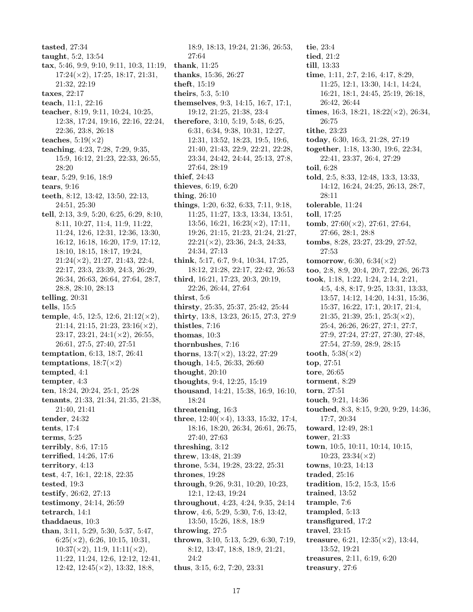tasted, 27:34 taught, 5:2, 13:54 tax, 5:46, 9:9, 9:10, 9:11, 10:3, 11:19, 17:24(×2), 17:25, 18:17, 21:31, 21:32, 22:19 taxes, 22:17 teach, 11:1, 22:16 teacher, 8:19, 9:11, 10:24, 10:25, 12:38, 17:24, 19:16, 22:16, 22:24, 22:36, 23:8, 26:18 teaches,  $5:19(\times2)$ teaching, 4:23, 7:28, 7:29, 9:35, 15:9, 16:12, 21:23, 22:33, 26:55, 28:20 tear, 5:29, 9:16, 18:9 tears, 9:16 teeth, 8:12, 13:42, 13:50, 22:13, 24:51, 25:30 tell, 2:13, 3:9, 5:20, 6:25, 6:29, 8:10, 8:11, 10:27, 11:4, 11:9, 11:22, 11:24, 12:6, 12:31, 12:36, 13:30, 16:12, 16:18, 16:20, 17:9, 17:12, 18:10, 18:15, 18:17, 19:24, 21:24(×2), 21:27, 21:43, 22:4, 22:17, 23:3, 23:39, 24:3, 26:29, 26:34, 26:63, 26:64, 27:64, 28:7, 28:8, 28:10, 28:13 telling, 20:31 tells, 15:5 temple, 4:5, 12:5, 12:6, 21:12( $\times$ 2),  $21:14, 21:15, 21:23, 23:16(\times 2),$ 23:17, 23:21, 24:1(×2), 26:55, 26:61, 27:5, 27:40, 27:51 temptation, 6:13, 18:7, 26:41 temptations,  $18:7(\times2)$ tempted, 4:1 tempter, 4:3 ten, 18:24, 20:24, 25:1, 25:28 tenants, 21:33, 21:34, 21:35, 21:38, 21:40, 21:41 tender, 24:32 tents, 17:4 terms, 5:25 terribly, 8:6, 17:15 terrified, 14:26, 17:6 territory, 4:13 test, 4:7, 16:1, 22:18, 22:35 tested, 19:3 testify, 26:62, 27:13 testimony, 24:14, 26:59 tetrarch, 14:1 thaddaeus, 10:3 than, 3:11, 5:29, 5:30, 5:37, 5:47,  $6:25(\times2)$ , 6:26, 10:15, 10:31,  $10:37(\times2), 11:9, 11:11(\times2),$ 11:22, 11:24, 12:6, 12:12, 12:41, 12:42, 12:45(×2), 13:32, 18:8,

18:9, 18:13, 19:24, 21:36, 26:53, 27:64 thank, 11:25 thanks, 15:36, 26:27 theft, 15:19 theirs, 5:3, 5:10 themselves, 9:3, 14:15, 16:7, 17:1, 19:12, 21:25, 21:38, 23:4 therefore, 3:10, 5:19, 5:48, 6:25, 6:31, 6:34, 9:38, 10:31, 12:27, 12:31, 13:52, 18:23, 19:5, 19:6, 21:40, 21:43, 22:9, 22:21, 22:28, 23:34, 24:42, 24:44, 25:13, 27:8, 27:64, 28:19 thief, 24:43 thieves, 6:19, 6:20 thing, 26:10 things, 1:20, 6:32, 6:33, 7:11, 9:18, 11:25, 11:27, 13:3, 13:34, 13:51, 13:56, 16:21,  $16:23 \times 2$ , 17:11, 19:26, 21:15, 21:23, 21:24, 21:27,  $22:21(\times2), 23:36, 24:3, 24:33,$ 24:34, 27:13 think, 5:17, 6:7, 9:4, 10:34, 17:25, 18:12, 21:28, 22:17, 22:42, 26:53 third, 16:21, 17:23, 20:3, 20:19, 22:26, 26:44, 27:64 thirst, 5:6 thirsty, 25:35, 25:37, 25:42, 25:44 thirty, 13:8, 13:23, 26:15, 27:3, 27:9 thistles, 7:16 thomas, 10:3 thornbushes, 7:16 thorns,  $13:7(\times2)$ ,  $13:22$ ,  $27:29$ though, 14:5, 26:33, 26:60 thought, 20:10 thoughts, 9:4, 12:25, 15:19 thousand, 14:21, 15:38, 16:9, 16:10, 18:24 threatening, 16:3 three,  $12:40(\times4)$ ,  $13:33$ ,  $15:32$ ,  $17:4$ , 18:16, 18:20, 26:34, 26:61, 26:75, 27:40, 27:63 threshing, 3:12 threw, 13:48, 21:39 throne, 5:34, 19:28, 23:22, 25:31 thrones, 19:28 through, 9:26, 9:31, 10:20, 10:23, 12:1, 12:43, 19:24 throughout, 4:23, 4:24, 9:35, 24:14 throw, 4:6, 5:29, 5:30, 7:6, 13:42, 13:50, 15:26, 18:8, 18:9 throwing, 27:5 thrown, 3:10, 5:13, 5:29, 6:30, 7:19, 8:12, 13:47, 18:8, 18:9, 21:21, 24:2 thus, 3:15, 6:2, 7:20, 23:31

tie, 23:4 tied, 21:2 till, 13:33 time, 1:11, 2:7, 2:16, 4:17, 8:29, 11:25, 12:1, 13:30, 14:1, 14:24, 16:21, 18:1, 24:45, 25:19, 26:18, 26:42, 26:44 times, 16:3, 18:21, 18:22( $\times$ 2), 26:34, 26:75 tithe, 23:23 today, 6:30, 16:3, 21:28, 27:19 together, 1:18, 13:30, 19:6, 22:34, 22:41, 23:37, 26:4, 27:29 toil, 6:28 told, 2:5, 8:33, 12:48, 13:3, 13:33, 14:12, 16:24, 24:25, 26:13, 28:7, 28:11 tolerable, 11:24 toll, 17:25 tomb,  $27:60(x2)$ ,  $27:61$ ,  $27:64$ , 27:66, 28:1, 28:8 tombs, 8:28, 23:27, 23:29, 27:52, 27:53 tomorrow, 6:30, 6:34 $(\times 2)$ too, 2:8, 8:9, 20:4, 20:7, 22:26, 26:73 took, 1:18, 1:22, 1:24, 2:14, 2:21, 4:5, 4:8, 8:17, 9:25, 13:31, 13:33, 13:57, 14:12, 14:20, 14:31, 15:36, 15:37, 16:22, 17:1, 20:17, 21:4, 21:35, 21:39, 25:1,  $25:3(\times2)$ , 25:4, 26:26, 26:27, 27:1, 27:7, 27:9, 27:24, 27:27, 27:30, 27:48, 27:54, 27:59, 28:9, 28:15 tooth,  $5:38(\times2)$ top, 27:51 tore, 26:65 torment, 8:29 torn, 27:51 touch, 9:21, 14:36 touched, 8:3, 8:15, 9:20, 9:29, 14:36, 17:7, 20:34 toward, 12:49, 28:1 tower, 21:33 town, 10:5, 10:11, 10:14, 10:15,  $10:23$ ,  $23:34 \times 2$ towns, 10:23, 14:13 traded, 25:16 tradition, 15:2, 15:3, 15:6 trained, 13:52 trample, 7:6 trampled, 5:13 transfigured, 17:2 travel, 23:15 treasure, 6:21,  $12:35(\times2)$ , 13:44, 13:52, 19:21 treasures, 2:11, 6:19, 6:20 treasury, 27:6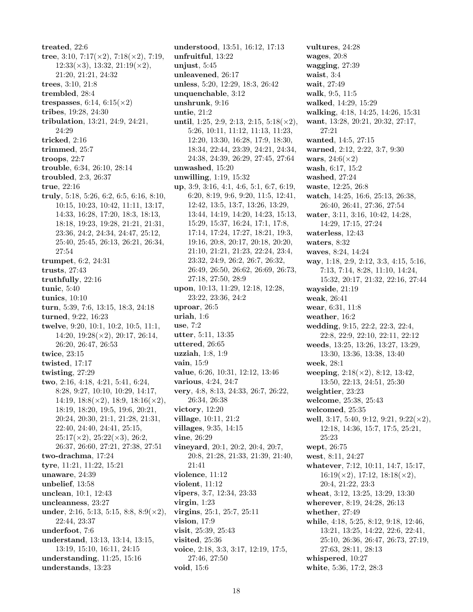treated, 22:6 tree, 3:10, 7:17( $\times$ 2), 7:18( $\times$ 2), 7:19,  $12:33(\times3), 13:32, 21:19(\times2),$ 21:20, 21:21, 24:32 trees, 3:10, 21:8 trembled, 28:4 trespasses, 6:14, 6:15 $(\times 2)$ tribes, 19:28, 24:30 tribulation, 13:21, 24:9, 24:21, 24:29 tricked, 2:16 trimmed, 25:7 troops, 22:7 trouble, 6:34, 26:10, 28:14 troubled, 2:3, 26:37 true, 22:16 truly, 5:18, 5:26, 6:2, 6:5, 6:16, 8:10, 10:15, 10:23, 10:42, 11:11, 13:17, 14:33, 16:28, 17:20, 18:3, 18:13, 18:18, 19:23, 19:28, 21:21, 21:31, 23:36, 24:2, 24:34, 24:47, 25:12, 25:40, 25:45, 26:13, 26:21, 26:34, 27:54 trumpet, 6:2, 24:31 trusts, 27:43 truthfully, 22:16 tunic, 5:40 tunics, 10:10 turn, 5:39, 7:6, 13:15, 18:3, 24:18 turned, 9:22, 16:23 twelve, 9:20, 10:1, 10:2, 10:5, 11:1, 14:20, 19:28(×2), 20:17, 26:14, 26:20, 26:47, 26:53 twice, 23:15 twisted, 17:17 twisting, 27:29 two, 2:16, 4:18, 4:21, 5:41, 6:24, 8:28, 9:27, 10:10, 10:29, 14:17, 14:19,  $18:8 \times 2$ ,  $18:9$ ,  $18:16 \times 2$ , 18:19, 18:20, 19:5, 19:6, 20:21, 20:24, 20:30, 21:1, 21:28, 21:31, 22:40, 24:40, 24:41, 25:15,  $25:17(\times2), 25:22(\times3), 26:2,$ 26:37, 26:60, 27:21, 27:38, 27:51 two-drachma, 17:24 tyre, 11:21, 11:22, 15:21 unaware, 24:39 unbelief, 13:58 unclean, 10:1, 12:43 uncleanness, 23:27 under, 2:16, 5:13, 5:15, 8:8, 8:9( $\times$ 2), 22:44, 23:37 underfoot, 7:6 understand, 13:13, 13:14, 13:15, 13:19, 15:10, 16:11, 24:15 understanding, 11:25, 15:16 understands, 13:23

understood, 13:51, 16:12, 17:13 unfruitful, 13:22 unjust, 5:45 unleavened, 26:17 unless, 5:20, 12:29, 18:3, 26:42 unquenchable, 3:12 unshrunk, 9:16 untie, 21:2 until, 1:25, 2:9, 2:13, 2:15, 5:18( $\times$ 2), 5:26, 10:11, 11:12, 11:13, 11:23, 12:20, 13:30, 16:28, 17:9, 18:30, 18:34, 22:44, 23:39, 24:21, 24:34, 24:38, 24:39, 26:29, 27:45, 27:64 unwashed, 15:20 unwilling, 1:19, 15:32 up, 3:9, 3:16, 4:1, 4:6, 5:1, 6:7, 6:19, 6:20, 8:19, 9:6, 9:20, 11:5, 12:41, 12:42, 13:5, 13:7, 13:26, 13:29, 13:44, 14:19, 14:20, 14:23, 15:13, 15:29, 15:37, 16:24, 17:1, 17:8, 17:14, 17:24, 17:27, 18:21, 19:3, 19:16, 20:8, 20:17, 20:18, 20:20, 21:10, 21:21, 21:23, 22:24, 23:4, 23:32, 24:9, 26:2, 26:7, 26:32, 26:49, 26:50, 26:62, 26:69, 26:73, 27:18, 27:50, 28:9 upon, 10:13, 11:29, 12:18, 12:28, 23:22, 23:36, 24:2 uproar, 26:5 uriah, 1:6 use, 7:2 utter, 5:11, 13:35 uttered, 26:65 uzziah, 1:8, 1:9 vain, 15:9 value, 6:26, 10:31, 12:12, 13:46 various, 4:24, 24:7 very, 4:8, 8:13, 24:33, 26:7, 26:22, 26:34, 26:38 victory, 12:20 village, 10:11, 21:2 villages, 9:35, 14:15 vine, 26:29 vineyard, 20:1, 20:2, 20:4, 20:7, 20:8, 21:28, 21:33, 21:39, 21:40, 21:41 violence, 11:12 violent, 11:12 vipers, 3:7, 12:34, 23:33 virgin, 1:23 virgins, 25:1, 25:7, 25:11 vision, 17:9 visit, 25:39, 25:43 visited, 25:36 voice, 2:18, 3:3, 3:17, 12:19, 17:5, 27:46, 27:50 void, 15:6

vultures, 24:28 wages, 20:8 wagging, 27:39 waist, 3:4 wait, 27:49 walk, 9:5, 11:5 walked, 14:29, 15:29 walking, 4:18, 14:25, 14:26, 15:31 want, 13:28, 20:21, 20:32, 27:17, 27:21 wanted, 14:5, 27:15 warned, 2:12, 2:22, 3:7, 9:30 wars,  $24:6(\times2)$ wash, 6:17, 15:2 washed, 27:24 waste, 12:25, 26:8 watch, 14:25, 16:6, 25:13, 26:38, 26:40, 26:41, 27:36, 27:54 water, 3:11, 3:16, 10:42, 14:28, 14:29, 17:15, 27:24 waterless, 12:43 waters, 8:32 waves, 8:24, 14:24 way, 1:18, 2:9, 2:12, 3:3, 4:15, 5:16, 7:13, 7:14, 8:28, 11:10, 14:24, 15:32, 20:17, 21:32, 22:16, 27:44 wayside, 21:19 weak, 26:41 wear, 6:31, 11:8 weather, 16:2 wedding, 9:15, 22:2, 22:3, 22:4, 22:8, 22:9, 22:10, 22:11, 22:12 weeds, 13:25, 13:26, 13:27, 13:29, 13:30, 13:36, 13:38, 13:40 week, 28:1 weeping,  $2:18(\times 2)$ ,  $8:12$ ,  $13:42$ , 13:50, 22:13, 24:51, 25:30 weightier, 23:23 welcome, 25:38, 25:43 welcomed, 25:35 well, 3:17, 5:40, 9:12, 9:21, 9:22( $\times$ 2), 12:18, 14:36, 15:7, 17:5, 25:21, 25:23 wept, 26:75 west, 8:11, 24:27 whatever, 7:12, 10:11, 14:7, 15:17,  $16:19(\times2)$ , 17:12,  $18:18(\times2)$ , 20:4, 21:22, 23:3 wheat, 3:12, 13:25, 13:29, 13:30 wherever, 8:19, 24:28, 26:13 whether, 27:49 while, 4:18, 5:25, 8:12, 9:18, 12:46, 13:21, 13:25, 14:22, 22:6, 22:41, 25:10, 26:36, 26:47, 26:73, 27:19, 27:63, 28:11, 28:13 whispered, 10:27 white, 5:36, 17:2, 28:3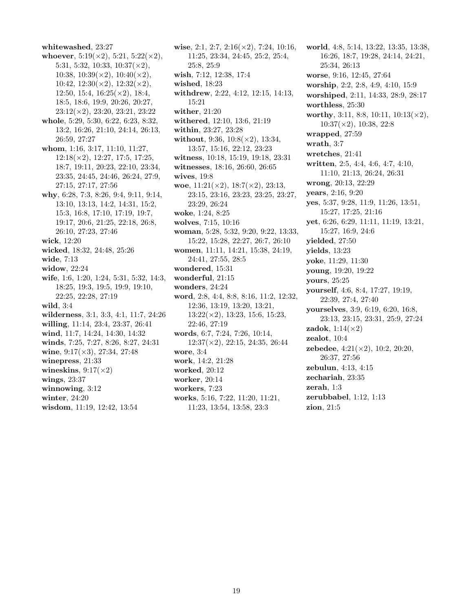whitewashed, 23:27 whoever,  $5:19(\times2)$ ,  $5:21$ ,  $5:22(\times2)$ , 5:31, 5:32, 10:33,  $10:37(\times2)$ , 10:38,  $10:39 \times 2$ ,  $10:40 \times 2$ , 10:42,  $12:30(\times2)$ ,  $12:32(\times2)$ , 12:50, 15:4, 16:25(×2), 18:4, 18:5, 18:6, 19:9, 20:26, 20:27, 23:12(×2), 23:20, 23:21, 23:22 whole, 5:29, 5:30, 6:22, 6:23, 8:32, 13:2, 16:26, 21:10, 24:14, 26:13, 26:59, 27:27 whom, 1:16, 3:17, 11:10, 11:27,  $12:18(\times2), 12:27, 17:5, 17:25,$ 18:7, 19:11, 20:23, 22:10, 23:34, 23:35, 24:45, 24:46, 26:24, 27:9, 27:15, 27:17, 27:56 why, 6:28, 7:3, 8:26, 9:4, 9:11, 9:14, 13:10, 13:13, 14:2, 14:31, 15:2, 15:3, 16:8, 17:10, 17:19, 19:7, 19:17, 20:6, 21:25, 22:18, 26:8, 26:10, 27:23, 27:46 wick, 12:20 wicked, 18:32, 24:48, 25:26 wide, 7:13 widow, 22:24 wife, 1:6, 1:20, 1:24, 5:31, 5:32, 14:3, 18:25, 19:3, 19:5, 19:9, 19:10, 22:25, 22:28, 27:19 wild, 3:4 wilderness, 3:1, 3:3, 4:1, 11:7, 24:26 willing, 11:14, 23:4, 23:37, 26:41 wind, 11:7, 14:24, 14:30, 14:32 winds, 7:25, 7:27, 8:26, 8:27, 24:31 wine,  $9:17(\times3)$ ,  $27:34$ ,  $27:48$ winepress, 21:33 wineskins,  $9:17(\times2)$ wings, 23:37 winnowing,  $3:12$ winter, 24:20 wisdom, 11:19, 12:42, 13:54

wise, 2:1, 2:7,  $2:16(\times2)$ , 7:24, 10:16, 11:25, 23:34, 24:45, 25:2, 25:4, 25:8, 25:9 wish, 7:12, 12:38, 17:4 wished, 18:23 withdrew, 2:22, 4:12, 12:15, 14:13, 15:21 wither, 21:20 withered, 12:10, 13:6, 21:19 within, 23:27, 23:28 without, 9:36,  $10:8(\times 2)$ , 13:34, 13:57, 15:16, 22:12, 23:23 witness, 10:18, 15:19, 19:18, 23:31 witnesses, 18:16, 26:60, 26:65 wives, 19:8 woe,  $11:21(\times 2)$ ,  $18:7(\times 2)$ ,  $23:13$ , 23:15, 23:16, 23:23, 23:25, 23:27, 23:29, 26:24 woke, 1:24, 8:25 wolves, 7:15, 10:16 woman, 5:28, 5:32, 9:20, 9:22, 13:33, 15:22, 15:28, 22:27, 26:7, 26:10 women, 11:11, 14:21, 15:38, 24:19, 24:41, 27:55, 28:5 wondered, 15:31 wonderful, 21:15 wonders, 24:24 word, 2:8, 4:4, 8:8, 8:16, 11:2, 12:32, 12:36, 13:19, 13:20, 13:21,  $13:22(\times2)$ , 13:23, 15:6, 15:23, 22:46, 27:19 words, 6:7, 7:24, 7:26, 10:14,  $12:37(\times2)$ ,  $22:15$ ,  $24:35$ ,  $26:44$ wore, 3:4 work, 14:2, 21:28 worked, 20:12 worker, 20:14 workers, 7:23 works, 5:16, 7:22, 11:20, 11:21, 11:23, 13:54, 13:58, 23:3

world, 4:8, 5:14, 13:22, 13:35, 13:38, 16:26, 18:7, 19:28, 24:14, 24:21, 25:34, 26:13 worse, 9:16, 12:45, 27:64 worship, 2:2, 2:8, 4:9, 4:10, 15:9 worshiped, 2:11, 14:33, 28:9, 28:17 worthless, 25:30 worthy, 3:11, 8:8, 10:11,  $10:13(\times2)$ ,  $10:37(\times2)$ , 10:38, 22:8 wrapped, 27:59 wrath, 3:7 wretches, 21:41 written, 2:5, 4:4, 4:6, 4:7, 4:10, 11:10, 21:13, 26:24, 26:31 wrong, 20:13, 22:29 years, 2:16, 9:20 yes, 5:37, 9:28, 11:9, 11:26, 13:51, 15:27, 17:25, 21:16 yet, 6:26, 6:29, 11:11, 11:19, 13:21, 15:27, 16:9, 24:6 yielded, 27:50 yields, 13:23 yoke, 11:29, 11:30 young, 19:20, 19:22 yours, 25:25 yourself, 4:6, 8:4, 17:27, 19:19, 22:39, 27:4, 27:40 yourselves, 3:9, 6:19, 6:20, 16:8, 23:13, 23:15, 23:31, 25:9, 27:24 zadok,  $1:14(\times2)$ zealot, 10:4 zebedee,  $4:21(\times2)$ ,  $10:2$ ,  $20:20$ , 26:37, 27:56 zebulun, 4:13, 4:15 zechariah, 23:35 zerah, 1:3 zerubbabel, 1:12, 1:13 zion, 21:5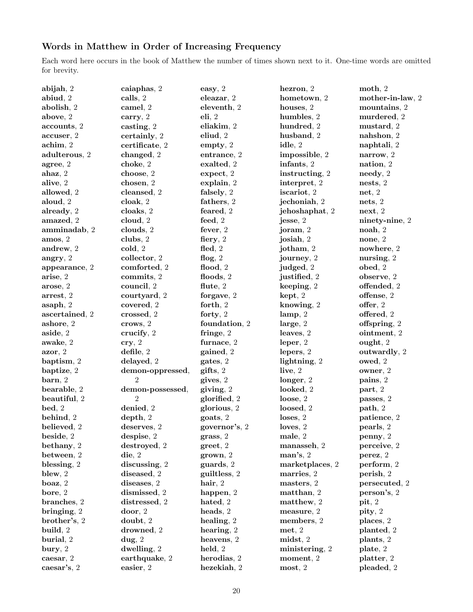## Words in Matthew in Order of Increasing Frequency

Each word here occurs in the book of Matthew the number of times shown next to it. One-time words are omitted for brevity.

| abijah, 2          | caiaphas, 2        | easy, $\sqrt{2}$ | hezron, 2          | $\mathbf{moth}, 2$  |
|--------------------|--------------------|------------------|--------------------|---------------------|
| abiud, 2           | calls, 2           | eleazar, 2       | hometown, 2        | mother-in-law, 2    |
| abolish, 2         | camel, 2           | eleventh, 2      | houses, 2          | mountains, 2        |
| above, 2           | carry, 2           | eli, 2           | humbles, 2         | murdered, 2         |
| accounts, 2        | $\alpha$ asting, 2 | eliakim, 2       | hundred, 2         | mustard, 2          |
| accuser, 2         | certainly, 2       | eliud, 2         | husband, 2         | nahshon, 2          |
| achim, 2           | certificate, 2     | empty, 2         | idle, 2            | naphtali, 2         |
| adulterous, 2      | changed, 2         | entrance, 2      | impossible, 2      | narrow, 2           |
| agree, 2           | choke, 2           | exalted, 2       | infants, 2         | nation, 2           |
| ahaz, 2            | choose, 2          | expect, 2        | instructing, 2     | $\mathbf{needy}, 2$ |
| alive, 2           | chosen, 2          | explain, 2       | interpret, 2       | nests, 2            |
| allowed, 2         | cleansed, 2        | falsely, 2       | iscariot, 2        | net, 2              |
| aloud, 2           | cloak, 2           | fathers, 2       | jechoniah, 2       | nets, 2             |
| already, 2         | cloaks, 2          | feared, 2        | jehoshaphat, 2     | next, 2             |
| amazed, 2          | cloud, 2           | feed, 2          | jesse, 2           | ninety-nine, 2      |
| amminadab, 2       | clouds, 2          | fever, $2$       | joram, 2           | $\mathbf{n}$ oah, 2 |
| amos, 2            | clubs, 2           | fiery, $2$       | josiah, 2          | none, 2             |
| andrew, 2          | cold, 2            | fled, 2          | jotham, 2          | nowhere, 2          |
| angry, $2$         | collector, 2       | flog, $2$        | journey, 2         | nursing, 2          |
| appearance, 2      | comforted, 2       | flood, $2$       | judged, 2          | obed, 2             |
| arise, 2           | commits, 2         | floods, 2        | justified, 2       | observe, 2          |
| arose, 2           | council, 2         | flute, $2$       | keeping, $2$       | offended, 2         |
| arrest, 2          | courtyard, 2       | forgave, 2       | $\mathbf{kept}, 2$ | offense, 2          |
| asaph, 2           | covered, 2         | forth, $2$       | knowing, 2         | offer, 2            |
| ascertained, 2     | crossed, 2         | forty, $2$       | lamp, 2            | offered, 2          |
| ashore, 2          | crows, 2           | foundation, 2    | large, 2           | offspring, 2        |
| aside, 2           | crucify, 2         | fringe, $2$      | leaves, 2          | ointment, 2         |
| awake, 2           | $\mathbf{cry}, 2$  | furnace, 2       | leper, 2           | ought, 2            |
| $azor, 2$          | defile, 2          | gained, 2        | lepers, 2          | outwardly, 2        |
| baptism, 2         | delayed, 2         | gates, 2         | lightning, $2$     | owed, 2             |
| baptize, 2         | demon-oppressed,   | giffs, 2         | live, $2$          | owner, 2            |
| $\mathbf{barn}, 2$ | $\overline{2}$     | gives, 2         | longer, 2          | pains, 2            |
| bearable, 2        | demon-possessed,   | giving, 2        | looked, 2          | part, 2             |
| beautiful, 2       | 2                  | glorified, 2     | loose, 2           | passes, 2           |
| bed, 2             | denied, 2          | glorious, 2      | loosed, 2          | path, 2             |
| behind, 2          | depth, 2           | goats, 2         | loss, 2            | patience, 2         |
| believed, 2        | deserves, 2        | governor's, 2    | loves, $2$         | pearls, 2           |
| beside, 2          | despise, 2         | grass, 2         | male, 2            | penny, 2            |
| bethany, 2         | destroyed, 2       | greet, 2         | manasseh, 2        | perceive, 2         |
| between, 2         | $\mathbf{die}, 2$  | $grown, 2$       | man's, 2           | perez, 2            |
| blessing, $2$      | discussing, 2      | guards, 2        | marketplaces, 2    | perform, 2          |
| blew, $2$          | diseased, 2        | guiltless, 2     | marries, 2         | perish, 2           |
| $\mathbf{boaz}, 2$ | diseases, 2        | hair, $2$        | masters, 2         | persecuted, 2       |
| bore, 2            | dismissed, 2       | happen, 2        | matthan, 2         | person's, 2         |
| branches, 2        | distressed, 2      | hated, 2         | matthew, 2         | pit, 2              |
| bringing, $2$      | door, 2            | heads, 2         | measure, 2         | pity, 2             |
| brother's, 2       | doubt, 2           | healing, $2$     | members, 2         | places, 2           |
| build, 2           | drowned, 2         | hearing, 2       | met, 2             | planted, 2          |
| burial, 2          | $\mathbf{dug}, 2$  | heavens, 2       | $mids$ , 2         | plants, 2           |
| bury, 2            | dwelling, 2        | $\bold{held}, 2$ | ministering, 2     | plate, 2            |
| caesar, 2          | earthquake, 2      | herodias, 2      | moment, 2          | platter, 2          |
| caesar's, 2        | easier, 2          | hezekiah, 2      | most, 2            | pleaded, 2          |
|                    |                    |                  |                    |                     |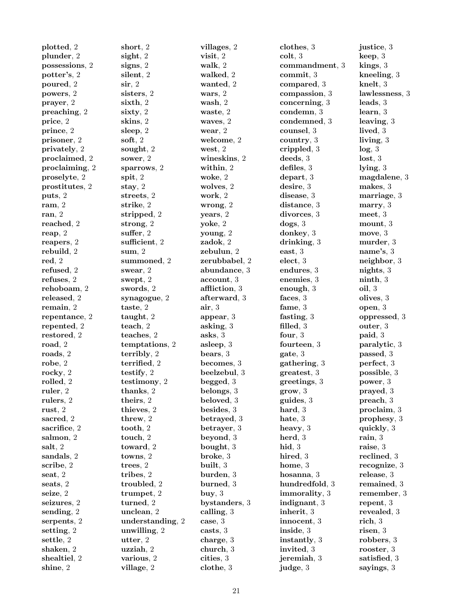plotted, 2 plunder, 2 possessions, 2 potter's, 2 poured, 2 powers, 2 prayer, 2 preaching, 2 price, 2 prince, 2 prisoner, 2 privately, 2 proclaimed, 2 proclaiming, 2 proselyte, 2 prostitutes, 2 puts, 2 ram, 2 ran, 2 reached, 2 reap, 2 reapers, 2 rebuild, 2 red, 2 refused, 2 refuses, 2 rehoboam, 2 released, 2 remain, 2 repentance, 2 repented, 2 restored, 2 road, 2 roads, 2 robe, 2 rocky, 2 rolled, 2 ruler, 2 rulers, 2 rust, 2 sacred, 2 sacrifice, 2 salmon, 2 salt, 2 sandals, 2 scribe, 2 seat, 2 seats, 2 seize, 2 seizures, 2 sending, 2 serpents, 2 setting, 2 settle, 2 shaken, 2 shealtiel, 2 shine, 2

short, 2 sight, 2 signs, 2 silent, 2 sir, 2 sisters, 2 sixth, 2 sixty, 2 skins, 2 sleep, 2 soft, 2 sought, 2 sower, 2 sparrows, 2 spit, 2 stay, 2 streets, 2 strike, 2 stripped, 2 strong, 2 suffer, 2 sufficient, 2 sum, 2 summoned, 2 swear, 2 swept, 2 swords, 2 synagogue, 2 taste, 2 taught, 2 teach, 2 teaches, 2 temptations, 2 terribly, 2 terrified, 2 testify, 2 testimony, 2 thanks, 2 theirs, 2 thieves, 2 threw, 2 tooth, 2 touch, 2 toward, 2 towns, 2 trees, 2 tribes, 2 troubled, 2 trumpet, 2 turned, 2 unclean, 2 understanding, 2 unwilling, 2 utter, 2 uzziah, 2 various, 2 village, 2

villages, 2 visit, 2 walk, 2 walked, 2 wanted, 2 wars, 2 wash, 2 waste, 2 waves, 2 wear, 2 welcome, 2 west, 2 wineskins, 2 within, 2 woke, 2 wolves, 2 work, 2 wrong, 2 years, 2 yoke, 2 young, 2 zadok, 2 zebulun, 2 zerubbabel, 2 abundance, 3 account, 3 affliction, 3 afterward, 3 air, 3 appear, 3 asking, 3 asks, 3 asleep, 3 bears, 3 becomes, 3 beelzebul, 3 begged, 3 belongs, 3 beloved, 3 besides, 3 betrayed, 3 betrayer, 3 beyond, 3 bought, 3 broke, 3 built, 3 burden, 3 burned, 3 buy, 3 bystanders, 3 calling, 3 case, 3 casts, 3 charge, 3 church, 3 cities, 3 clothe, 3

clothes, 3 colt, 3 commandment, 3 commit, 3 compared, 3 compassion, 3 concerning, 3 condemn, 3 condemned, 3 counsel, 3 country, 3 crippled, 3 deeds, 3 defiles, 3 depart, 3 desire, 3 disease, 3 distance, 3 divorces, 3 dogs, 3 donkey, 3 drinking, 3 east, 3 elect, 3 endures, 3 enemies, 3 enough, 3 faces, 3 fame, 3 fasting, 3 filled, 3 four, 3 fourteen, 3 gate, 3 gathering, 3 greatest, 3 greetings, 3 grow, 3 guides, 3 hard, 3 hate, 3 heavy, 3 herd, 3 hid, 3 hired, 3 home, 3 hosanna, 3 hundredfold, 3 immorality, 3 indignant, 3 inherit, 3 innocent, 3 inside, 3 instantly, 3 invited, 3 jeremiah, 3 judge, 3

justice, 3 keep, 3 kings, 3 kneeling, 3 knelt, 3 lawlessness, 3 leads, 3 learn, 3 leaving, 3 lived, 3 living, 3 log, 3 lost, 3 lying, 3 magdalene, 3 makes, 3 marriage, 3 marry, 3 meet, 3 mount, 3 move, 3 murder, 3 name's, 3 neighbor, 3 nights, 3 ninth, 3 oil, 3 olives, 3 open, 3 oppressed, 3 outer, 3 paid, 3 paralytic, 3 passed, 3 perfect, 3 possible, 3 power, 3 prayed, 3 preach, 3 proclaim, 3 prophesy, 3 quickly, 3 rain, 3 raise, 3 reclined, 3 recognize, 3 release, 3 remained, 3 remember, 3 repent, 3 revealed, 3 rich, 3 risen, 3 robbers, 3 rooster, 3 satisfied, 3 sayings, 3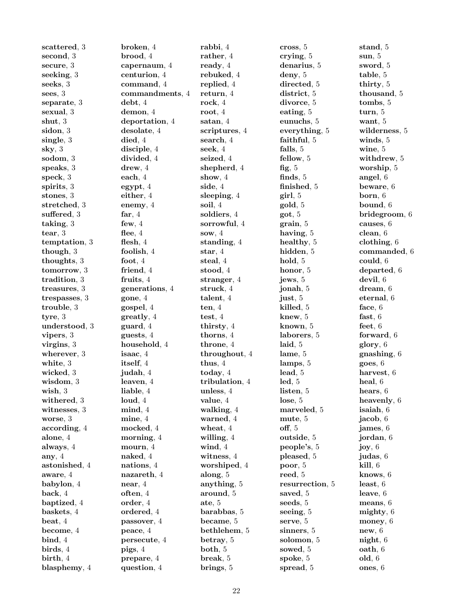| scattered, 3                   | broken, 4           | $rabbi, 4$     | cross, 5        | stand, 5                          |
|--------------------------------|---------------------|----------------|-----------------|-----------------------------------|
| second, 3                      | brood, 4            | rather, 4      | crying, 5       | sum, 5                            |
| secure, 3                      | capernaum, 4        | ready, $4$     | denarius, 5     | sword, 5                          |
| seeking, $3$                   | centurion, 4        | rebuked, 4     | deny, 5         | table, 5                          |
| seeks, 3                       | command, 4          | replied, 4     | directed, 5     | thirty, 5                         |
| sees, $3$                      | commandments, 4     | return, $4$    | district, 5     | thousand, 5                       |
| separate, 3                    | debt, 4             | rock, $4$      | divorce, 5      | tombs, 5                          |
| sexual, 3                      | demon, 4            | root, $4$      | eating, 5       | turn, 5                           |
| shut, 3                        | deportation, 4      | satan, 4       | eunuchs, 5      | want, 5                           |
| sidon, 3                       | desolate, 4         | scriptures, 4  | everything, 5   | wilderness, 5                     |
| single, $3$                    | died, 4             | search, 4      | faithful, 5     | winds, $5$                        |
| sky, 3                         | disciple, 4         | seek, 4        | falls, $5$      | wine, $5$                         |
| sodom, 3                       | divided, 4          | seized, 4      | fellow, 5       | withdrew, 5                       |
| speaks, $3$                    | $d$ rew, $4$        | shepherd, 4    | fig, 5          | worship, 5                        |
| $\,$ speck, $3$                | each, $4$           | show, $4$      | finds, 5        | angel, $6$                        |
| spirits, 3                     | $\mathbf{egypt}, 4$ | side, $4$      | finished, 5     | beware, 6                         |
| stones, 3                      | either, 4           | sleeping, $4$  | $\pi$ irl, 5    | born, 6                           |
| stretched, 3                   | enemy, $4$          | soil, $4$      | gold, 5         | bound, 6                          |
| suffered, 3                    | far, $4$            | soldiers, 4    | got, 5          | bridegroom, 6                     |
| taking, $3$                    | few, $4$            | sorrowful, 4   | grain, 5        | causes, 6                         |
| tear, 3                        | flee, $4$           | sow, $4$       | having, 5       | clean, 6                          |
| temptation, 3                  | flesh, $4$          | standing, $4$  | healthy, $5$    | $\alpha$ clothing, $6$            |
| though, 3                      | foolish, $4$        | star, $4$      | hidden, 5       | commanded, 6                      |
| thoughts, 3                    | foot, $4$           | steal, 4       | hold, 5         | could, 6                          |
| tomorrow, 3                    | friend, 4           | stood, 4       | honor, 5        | departed, 6                       |
| tradition, 3                   | fruits, $4$         | stranger, $4$  | jews, 5         | devil, 6                          |
| treasures, 3                   | generations, 4      | struck, $4$    | jonah, 5        | $d$ ream, $6$                     |
| trespasses, 3                  | $\mathbf{gone},\,4$ | talent, 4      | just, 5         | eternal, 6                        |
| trouble, 3                     |                     | ten, $4$       | killed, 5       | face, $6$                         |
| type, 3                        | gospel, 4<br>$4$    | test, 4        | knew, $5$       | $\textbf{fast}, 6$                |
| understood, 3                  | $\mathbf{guard}, 4$ | thirsty, 4     | known, 5        | feet, $6$                         |
| vipers, 3                      | guests, 4           | thorns, 4      | laborers, 5     | forward, 6                        |
| virgins, 3                     | household, 4        | throne, 4      | laid, 5         | glory, 6                          |
| wherever, 3                    | isaac, $4$          | throughout, 4  | lame, 5         |                                   |
| white, 3                       | itself, 4           | thus, $4$      | lamps, 5        | gnashing, $6$                     |
|                                |                     |                |                 | goes, 6                           |
| wicked, 3<br>wisdom, 3         | judah, 4            | today, $4$     | lead, 5         | harvest, 6                        |
|                                | leaven, 4           | tribulation, 4 | $\text{led}, 5$ | heal, $6$                         |
| $\mathbf{wish}, 3$             | liable, 4           | unless, $4$    | listen, 5       | hears, $6$                        |
| withered, 3                    | loud, 4             | value, 4       | lose, 5         | heavenly, 6                       |
| witnesses, 3                   | mind, 4             | walking, $4$   | marveled, 5     | isaiah, $6$                       |
| worse, 3                       | $min$ e, 4          | warned, 4      | mute, 5         | jacob, 6                          |
| according, 4                   | mocked, 4           | wheat, $4$     | off, 5          | james, 6                          |
| alone, 4                       | morning, 4          | willing, $4$   | outside, 5      | jordan, 6                         |
| always, 4                      | mourn, $4$          | wind, $4$      | people's, 5     | joy, 6                            |
| any, $4$                       | naked, 4            | witness, 4     | pleased, 5      | judas, 6                          |
| astonished, 4                  | nations, 4          | worshiped, 4   | poor, 5         | $\textbf{kill}, 6$                |
| aware, 4                       | nazareth, 4         | along, $5$     | reed, 5         | knows, 6                          |
| babylon, 4                     | near, $4$           | anything, 5    | resurrection, 5 | least, 6                          |
| back, 4                        | often, 4            | around, 5      | saved, 5        | leave, $6$                        |
| baptized, 4                    | order, 4            | ate, $5$       | seeds, 5        | means, 6                          |
| baskets, 4                     | ordered, 4          | barabbas, 5    | seeing, $5$     | $\boldsymbol{\mathrm{mighty}}, 6$ |
| beat, 4                        | passover, 4         | became, 5      | serve, $5$      | $\mathbf{money}, 6$               |
| become, 4                      | peace, 4            | bethlehem, 5   | sinners, 5      | new, 6                            |
| bind, 4                        | persecute, 4        | betray, $5$    | solomon, 5      | night, 6                          |
| $\boldsymbol{\text{birds}}, 4$ | pigs, 4             | both, 5        | sowed, 5        | $\alpha$ , 6                      |
| birth, 4                       | prepare, 4          | break, 5       | spoke, $5$      | old, 6                            |
| blasphemy, 4                   | question, 4         | brings, 5      | spread, 5       | ones, 6                           |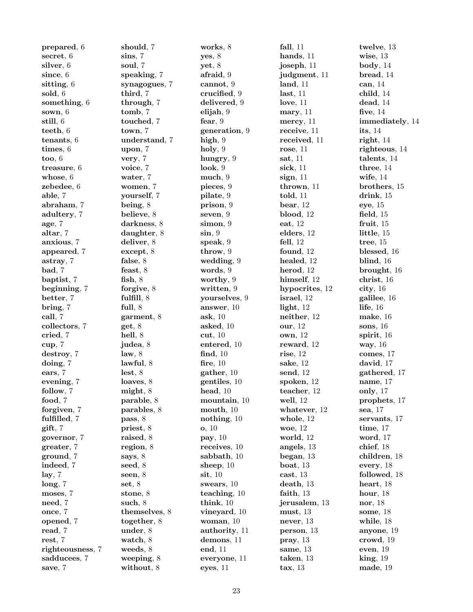prepared, 6 secret, 6 silver, 6 since, 6 sitting, 6 sold, 6 something,  $6$ sown, 6 still, 6 teeth, 6 tenants, 6 times, 6 too, 6 treasure, 6 whose, 6 zebedee, 6 able, 7 abraham, 7 adultery, 7 age, 7 altar, 7 anxious, 7 appeared, 7 astray, 7 bad, 7 baptist, 7 beginning, 7 better, 7 bring, 7 call, 7 collectors, 7 cried, 7 cup, 7 destroy, 7 doing, 7 ears, 7 evening, 7 follow, 7 food, 7 forgiven, 7 fulfilled, 7 gift, 7 governor, 7 greater, 7 ground, 7 indeed, 7 lay, 7 long, 7 moses, 7 need, 7 once, 7 opened, 7 read, 7 rest, 7 righteousness, 7 sadducees, 7 save, 7

should, 7 sins, 7 soul, 7 speaking, 7 synagogues, 7 third, 7 through, 7 tomb, 7 touched, 7 town, 7 understand, 7 upon, 7 very, 7 voice, 7 water, 7 women, 7 yourself, 7 being, 8 believe, 8 darkness, 8 daughter, 8 deliver, 8 except, 8 false, 8 feast, 8 fish, 8 forgive, 8 fulfill, 8 full, 8 garment, 8 get, 8 hell, 8 judea, 8 law, 8 lawful, 8 lest, 8 loaves, 8 might, 8 parable, 8 parables, 8 pass, 8 priest, 8 raised, 8 region, 8 says, 8 seed, 8 seen, 8 set, 8 stone, 8 such, 8 themselves, 8 together, 8 under, 8 watch, 8 weeds, 8 weeping, 8 without, 8

works, 8  $ves, 8$ yet, 8 afraid, 9 cannot, 9 crucified, 9 delivered, 9 elijah, 9 fear, 9 generation, 9 high, 9 holy, 9 hungry, 9 look, 9 much, 9 pieces, 9 pilate, 9 prison, 9 seven, 9 simon, 9 sin, 9 speak, 9 throw, 9 wedding, 9 words, 9 worthy, 9 written, 9 yourselves, 9 answer, 10 ask, 10 asked, 10 cut, 10 entered, 10 find, 10 fire,  $10$ gather, 10 gentiles, 10 head, 10 mountain, 10 mouth, 10 nothing, 10 o, 10 pay, 10 receives, 10 sabbath, 10 sheep, 10 sit, 10 swears, 10 teaching, 10 think, 10 vineyard, 10 woman, 10 authority, 11 demons, 11 end, 11 everyone, 11 eyes, 11

fall, 11 hands, 11 joseph, 11 judgment, 11 land, 11 last, 11 love, 11 mary, 11 mercy, 11 receive, 11 received, 11 rose, 11 sat, 11 sick, 11 sign, 11 thrown, 11 told, 11 bear, 12 blood, 12 eat, 12 elders, 12 fell, 12 found, 12 healed, 12 herod, 12 himself, 12 hypocrites, 12 israel, 12 light, 12 neither, 12 our, 12 own, 12 reward, 12 rise, 12 sake, 12 send, 12 spoken, 12 teacher, 12 well, 12 whatever, 12 whole, 12 woe, 12 world, 12 angels, 13 began, 13 boat, 13 cast, 13 death, 13 faith, 13 jerusalem, 13 must, 13 never, 13 person, 13 pray, 13 same, 13 taken, 13 tax, 13

twelve, 13 wise, 13 body, 14 bread, 14 can, 14 child, 14 dead, 14 five, 14 immediately, 14 its, 14 right, 14 righteous, 14 talents, 14 three, 14 wife, 14 brothers, 15 drink, 15 eye, 15 field, 15 fruit, 15 little, 15 tree, 15 blessed, 16 blind, 16 brought, 16 christ, 16 city, 16 galilee, 16 life, 16 make, 16 sons, 16 spirit, 16 way, 16 comes, 17 david, 17 gathered, 17 name, 17 only, 17 prophets, 17 sea, 17 servants, 17 time, 17 word, 17 chief, 18 children, 18 every, 18 followed, 18 heart, 18 hour, 18 nor, 18 some, 18 while, 18 anyone, 19 crowd, 19 even, 19 king, 19 made, 19